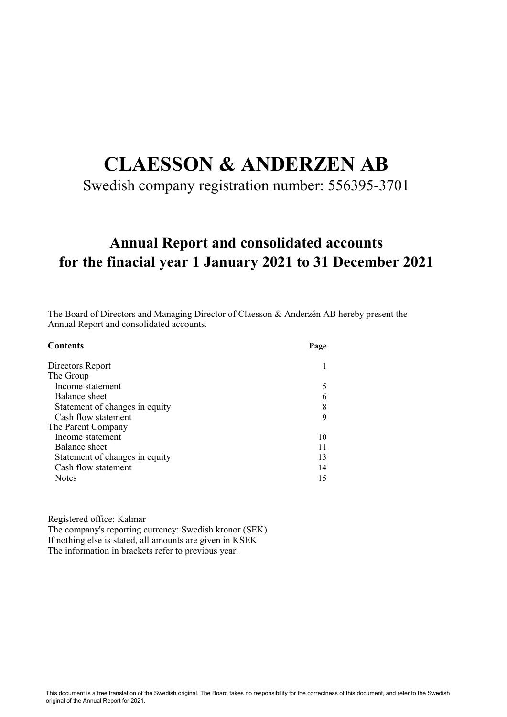# CLAESSON & ANDERZEN AB

Swedish company registration number: 556395-3701

# for the finacial year 1 January 2021 to 31 December 2021 Annual Report and consolidated accounts

The Board of Directors and Managing Director of Claesson & Anderzén AB hereby present the Annual Report and consolidated accounts.

| <b>Contents</b>                | Page |
|--------------------------------|------|
| Directors Report               |      |
| The Group                      |      |
| Income statement               |      |
| Balance sheet                  |      |
| Statement of changes in equity |      |
| Cash flow statement            | 9    |
| The Parent Company             |      |
| Income statement               | 10   |
| Balance sheet                  |      |
| Statement of changes in equity | 13   |
| Cash flow statement            | 14   |
| <b>Notes</b>                   | 15   |

Registered office: Kalmar

The company's reporting currency: Swedish kronor (SEK) If nothing else is stated, all amounts are given in KSEK The information in brackets refer to previous year.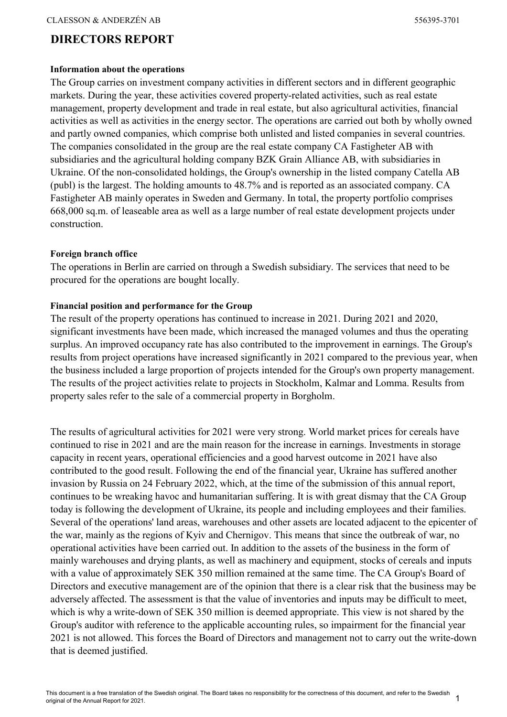## DIRECTORS REPORT

#### Information about the operations

The Group carries on investment company activities in different sectors and in different geographic markets. During the year, these activities covered property-related activities, such as real estate management, property development and trade in real estate, but also agricultural activities, financial activities as well as activities in the energy sector. The operations are carried out both by wholly owned and partly owned companies, which comprise both unlisted and listed companies in several countries. The companies consolidated in the group are the real estate company CA Fastigheter AB with subsidiaries and the agricultural holding company BZK Grain Alliance AB, with subsidiaries in Ukraine. Of the non-consolidated holdings, the Group's ownership in the listed company Catella AB (publ) is the largest. The holding amounts to 48.7% and is reported as an associated company. CA Fastigheter AB mainly operates in Sweden and Germany. In total, the property portfolio comprises 668,000 sq.m. of leaseable area as well as a large number of real estate development projects under construction.

#### Foreign branch office

The operations in Berlin are carried on through a Swedish subsidiary. The services that need to be procured for the operations are bought locally.

#### Financial position and performance for the Group

The result of the property operations has continued to increase in 2021. During 2021 and 2020, significant investments have been made, which increased the managed volumes and thus the operating surplus. An improved occupancy rate has also contributed to the improvement in earnings. The Group's results from project operations have increased significantly in 2021 compared to the previous year, when the business included a large proportion of projects intended for the Group's own property management. The results of the project activities relate to projects in Stockholm, Kalmar and Lomma. Results from property sales refer to the sale of a commercial property in Borgholm.

The results of agricultural activities for 2021 were very strong. World market prices for cereals have continued to rise in 2021 and are the main reason for the increase in earnings. Investments in storage capacity in recent years, operational efficiencies and a good harvest outcome in 2021 have also contributed to the good result. Following the end of the financial year, Ukraine has suffered another invasion by Russia on 24 February 2022, which, at the time of the submission of this annual report, continues to be wreaking havoc and humanitarian suffering. It is with great dismay that the CA Group today is following the development of Ukraine, its people and including employees and their families. Several of the operations' land areas, warehouses and other assets are located adjacent to the epicenter of the war, mainly as the regions of Kyiv and Chernigov. This means that since the outbreak of war, no operational activities have been carried out. In addition to the assets of the business in the form of mainly warehouses and drying plants, as well as machinery and equipment, stocks of cereals and inputs with a value of approximately SEK 350 million remained at the same time. The CA Group's Board of Directors and executive management are of the opinion that there is a clear risk that the business may be adversely affected. The assessment is that the value of inventories and inputs may be difficult to meet, which is why a write-down of SEK 350 million is deemed appropriate. This view is not shared by the Group's auditor with reference to the applicable accounting rules, so impairment for the financial year 2021 is not allowed. This forces the Board of Directors and management not to carry out the write-down that is deemed justified.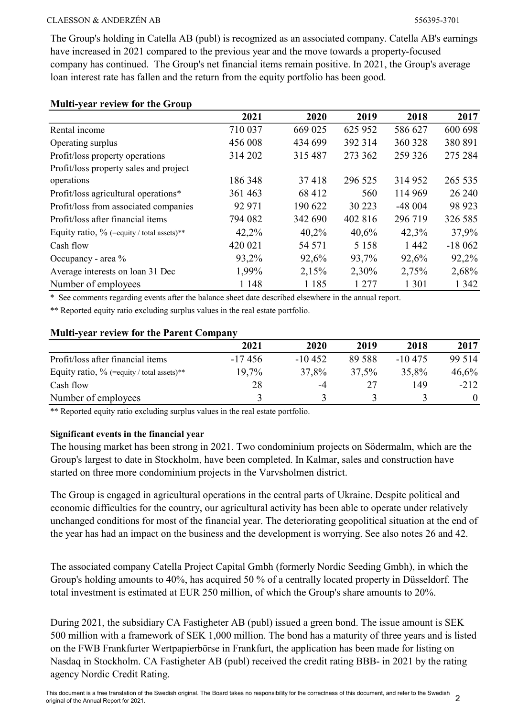The Group's holding in Catella AB (publ) is recognized as an associated company. Catella AB's earnings have increased in 2021 compared to the previous year and the move towards a property-focused company has continued. The Group's net financial items remain positive. In 2021, the Group's average loan interest rate has fallen and the return from the equity portfolio has been good.

| $\cdots$ $\cdots$                             | 2021    | 2020    | 2019    | 2018     | 2017     |
|-----------------------------------------------|---------|---------|---------|----------|----------|
| Rental income                                 | 710 037 | 669 025 | 625 952 | 586 627  | 600 698  |
| Operating surplus                             | 456 008 | 434 699 | 392 314 | 360 328  | 380 891  |
| Profit/loss property operations               | 314 202 | 315 487 | 273 362 | 259 326  | 275 284  |
| Profit/loss property sales and project        |         |         |         |          |          |
| operations                                    | 186 348 | 37418   | 296 525 | 314 952  | 265 535  |
| Profit/loss agricultural operations*          | 361 463 | 68 412  | 560     | 114 969  | 26 240   |
| Profit/loss from associated companies         | 92 971  | 190 622 | 30 223  | $-48004$ | 98 923   |
| Profit/loss after financial items             | 794 082 | 342 690 | 402 816 | 296 719  | 326 585  |
| Equity ratio, $\%$ (=equity / total assets)** | 42,2%   | 40,2%   | 40,6%   | 42,3%    | 37,9%    |
| Cash flow                                     | 420 021 | 54 571  | 5 1 5 8 | 1 4 4 2  | $-18062$ |
| Occupancy - area %                            | 93,2%   | 92,6%   | 93,7%   | 92,6%    | 92,2%    |
| Average interests on loan 31 Dec              | 1,99%   | 2,15%   | 2,30%   | 2,75%    | 2,68%    |
| Number of employees                           | 1 1 4 8 | 1 1 8 5 | 1 277   | 1 3 0 1  | 1 342    |

#### Multi-year review for the Group

\* See comments regarding events after the balance sheet date described elsewhere in the annual report.

\*\* Reported equity ratio excluding surplus values in the real estate portfolio.

#### Multi-year review for the Parent Company

|                                               | 2021     | 2020     | 2019   | 2018     | 2017   |
|-----------------------------------------------|----------|----------|--------|----------|--------|
| Profit/loss after financial items             | $-17456$ | $-10452$ | 89 588 | $-10475$ | 99 514 |
| Equity ratio, $\%$ (=equity / total assets)** | 19,7%    | 37,8%    | 37,5%  | 35,8%    | 46,6%  |
| Cash flow                                     | 28       | $-4$     |        | 149      | $-212$ |
| Number of employees                           |          |          |        |          |        |

\*\* Reported equity ratio excluding surplus values in the real estate portfolio.

#### Significant events in the financial year

The housing market has been strong in 2021. Two condominium projects on Södermalm, which are the Group's largest to date in Stockholm, have been completed. In Kalmar, sales and construction have started on three more condominium projects in the Varvsholmen district.

The Group is engaged in agricultural operations in the central parts of Ukraine. Despite political and economic difficulties for the country, our agricultural activity has been able to operate under relatively unchanged conditions for most of the financial year. The deteriorating geopolitical situation at the end of the year has had an impact on the business and the development is worrying. See also notes 26 and 42.

The associated company Catella Project Capital Gmbh (formerly Nordic Seeding Gmbh), in which the Group's holding amounts to 40%, has acquired 50 % of a centrally located property in Düsseldorf. The total investment is estimated at EUR 250 million, of which the Group's share amounts to 20%.

During 2021, the subsidiary CA Fastigheter AB (publ) issued a green bond. The issue amount is SEK 500 million with a framework of SEK 1,000 million. The bond has a maturity of three years and is listed on the FWB Frankfurter Wertpapierbörse in Frankfurt, the application has been made for listing on Nasdaq in Stockholm. CA Fastigheter AB (publ) received the credit rating BBB- in 2021 by the rating agency Nordic Credit Rating.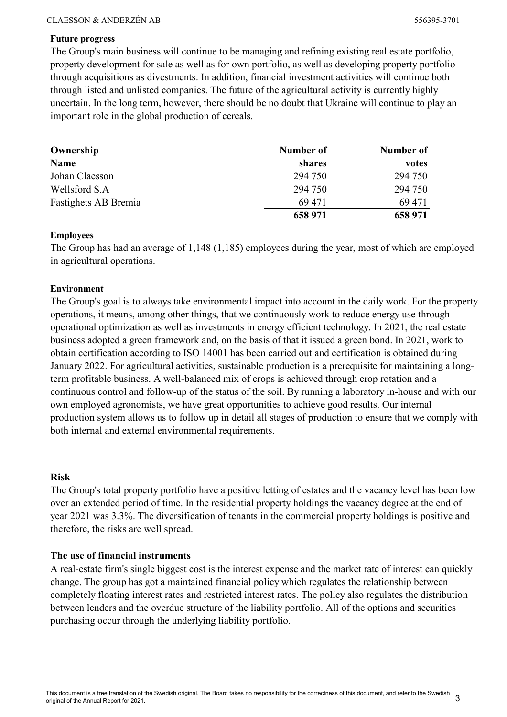#### Future progress

The Group's main business will continue to be managing and refining existing real estate portfolio, property development for sale as well as for own portfolio, as well as developing property portfolio through acquisitions as divestments. In addition, financial investment activities will continue both through listed and unlisted companies. The future of the agricultural activity is currently highly uncertain. In the long term, however, there should be no doubt that Ukraine will continue to play an important role in the global production of cereals.

| Ownership            | Number of | Number of |
|----------------------|-----------|-----------|
| <b>Name</b>          | shares    | votes     |
| Johan Claesson       | 294 750   | 294 750   |
| Wellsford S.A        | 294 750   | 294 750   |
| Fastighets AB Bremia | 69 471    | 69 471    |
|                      | 658 971   | 658 971   |

#### Employees

The Group has had an average of 1,148 (1,185) employees during the year, most of which are employed in agricultural operations.

#### Environment

The Group's goal is to always take environmental impact into account in the daily work. For the property operations, it means, among other things, that we continuously work to reduce energy use through operational optimization as well as investments in energy efficient technology. In 2021, the real estate business adopted a green framework and, on the basis of that it issued a green bond. In 2021, work to obtain certification according to ISO 14001 has been carried out and certification is obtained during January 2022. For agricultural activities, sustainable production is a prerequisite for maintaining a longterm profitable business. A well-balanced mix of crops is achieved through crop rotation and a continuous control and follow-up of the status of the soil. By running a laboratory in-house and with our own employed agronomists, we have great opportunities to achieve good results. Our internal production system allows us to follow up in detail all stages of production to ensure that we comply with both internal and external environmental requirements.

#### Risk

The Group's total property portfolio have a positive letting of estates and the vacancy level has been low over an extended period of time. In the residential property holdings the vacancy degree at the end of year 2021 was 3.3%. The diversification of tenants in the commercial property holdings is positive and therefore, the risks are well spread.

#### The use of financial instruments

A real-estate firm's single biggest cost is the interest expense and the market rate of interest can quickly change. The group has got a maintained financial policy which regulates the relationship between completely floating interest rates and restricted interest rates. The policy also regulates the distribution between lenders and the overdue structure of the liability portfolio. All of the options and securities purchasing occur through the underlying liability portfolio.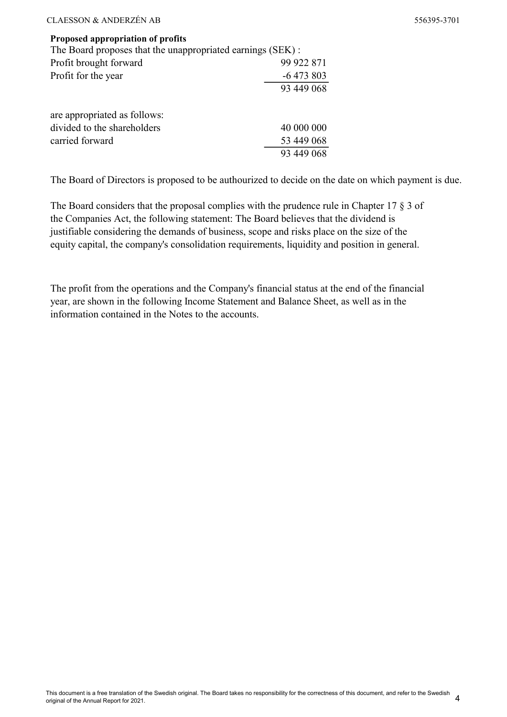#### Proposed appropriation of profits

| The Board proposes that the unappropriated earnings (SEK) : |            |  |  |  |
|-------------------------------------------------------------|------------|--|--|--|
| Profit brought forward                                      | 99 922 871 |  |  |  |
| Profit for the year                                         | $-6473803$ |  |  |  |
|                                                             | 93 449 068 |  |  |  |
| are appropriated as follows:                                |            |  |  |  |
| divided to the shareholders                                 | 40 000 000 |  |  |  |
| carried forward                                             | 53 449 068 |  |  |  |
|                                                             | 93 449 068 |  |  |  |
|                                                             |            |  |  |  |

The Board of Directors is proposed to be authourized to decide on the date on which payment is due.

The Board considers that the proposal complies with the prudence rule in Chapter 17 § 3 of the Companies Act, the following statement: The Board believes that the dividend is justifiable considering the demands of business, scope and risks place on the size of the equity capital, the company's consolidation requirements, liquidity and position in general.

The profit from the operations and the Company's financial status at the end of the financial year, are shown in the following Income Statement and Balance Sheet, as well as in the information contained in the Notes to the accounts.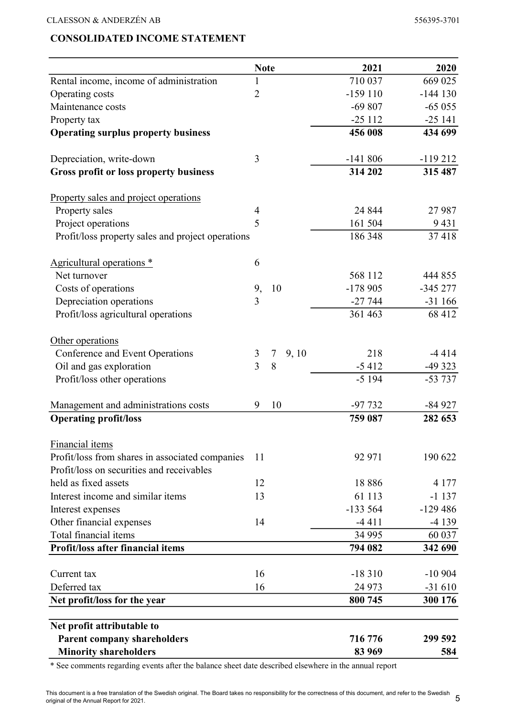## CONSOLIDATED INCOME STATEMENT

|                                                   | <b>Note</b>    |                         | 2021      | 2020      |
|---------------------------------------------------|----------------|-------------------------|-----------|-----------|
| Rental income, income of administration           | 1              |                         | 710 037   | 669 025   |
| Operating costs                                   | $\overline{2}$ |                         | $-159110$ | $-144130$ |
| Maintenance costs                                 |                |                         | $-69807$  | $-65055$  |
| Property tax                                      |                |                         | $-25112$  | $-25141$  |
| <b>Operating surplus property business</b>        |                |                         | 456 008   | 434 699   |
| Depreciation, write-down                          | 3              |                         | $-141806$ | $-119212$ |
| <b>Gross profit or loss property business</b>     |                |                         | 314 202   | 315 487   |
| Property sales and project operations             |                |                         |           |           |
| Property sales                                    | 4              |                         | 24 844    | 27 987    |
| Project operations                                | 5              |                         | 161 504   | 9431      |
| Profit/loss property sales and project operations |                |                         | 186 348   | 37418     |
| Agricultural operations *                         | 6              |                         |           |           |
| Net turnover                                      |                |                         | 568 112   | 444 855   |
| Costs of operations                               | 9,             | 10                      | $-178905$ | $-345277$ |
| Depreciation operations                           | 3              |                         | $-27744$  | $-31166$  |
| Profit/loss agricultural operations               |                |                         | 361 463   | 68 412    |
| Other operations                                  |                |                         |           |           |
| Conference and Event Operations                   | 3              | 9, 10<br>$\overline{7}$ | 218       | $-4414$   |
| Oil and gas exploration                           | $\overline{3}$ | 8                       | $-5412$   | $-49323$  |
| Profit/loss other operations                      |                |                         | $-5194$   | $-53737$  |
| Management and administrations costs              | 9              | 10                      | $-97732$  | $-84927$  |
| <b>Operating profit/loss</b>                      |                |                         | 759 087   | 282 653   |
| Financial items                                   |                |                         |           |           |
| Profit/loss from shares in associated companies   | 11             |                         | 92 971    | 190 622   |
| Profit/loss on securities and receivables         |                |                         |           |           |
| held as fixed assets                              | 12             |                         | 18886     | 4 1 7 7   |
| Interest income and similar items                 | 13             |                         | 61 113    | $-1137$   |
| Interest expenses                                 |                |                         | $-133564$ | $-129486$ |
| Other financial expenses                          | 14             |                         | $-4411$   | $-4139$   |
| Total financial items                             |                |                         | 34 995    | 60 037    |
| Profit/loss after financial items                 |                |                         | 794 082   | 342 690   |
| Current tax                                       | 16             |                         | $-18310$  | $-10904$  |
| Deferred tax                                      | 16             |                         | 24 973    | $-31610$  |
| Net profit/loss for the year                      |                |                         | 800 745   | 300 176   |
| Net profit attributable to                        |                |                         |           |           |
| <b>Parent company shareholders</b>                |                |                         | 716 776   | 299 592   |
| <b>Minority shareholders</b>                      |                |                         | 83 969    | 584       |

\* See comments regarding events after the balance sheet date described elsewhere in the annual report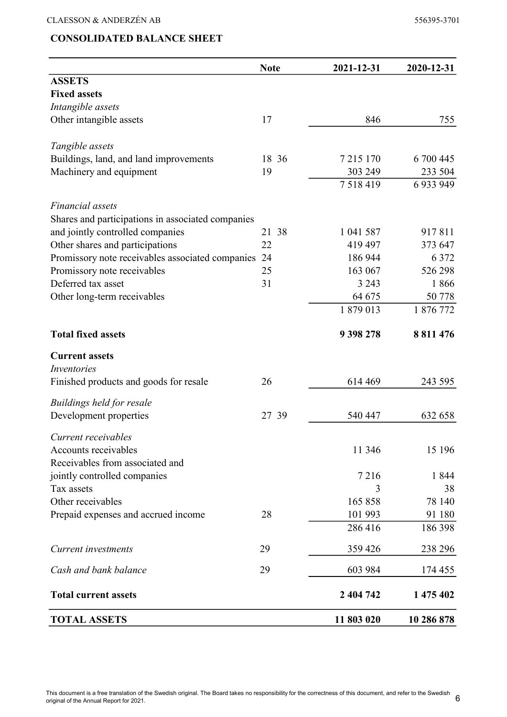|                                                     | <b>Note</b> | 2021-12-31  | 2020-12-31    |
|-----------------------------------------------------|-------------|-------------|---------------|
| <b>ASSETS</b>                                       |             |             |               |
| <b>Fixed assets</b>                                 |             |             |               |
| Intangible assets                                   |             |             |               |
| Other intangible assets                             | 17          | 846         | 755           |
| Tangible assets                                     |             |             |               |
| Buildings, land, and land improvements              | 18 36       | 7 215 170   | 6 700 445     |
| Machinery and equipment                             | 19          | 303 249     | 233 504       |
|                                                     |             | 7 5 18 4 19 | 6 9 3 9 9 4 9 |
| Financial assets                                    |             |             |               |
| Shares and participations in associated companies   |             |             |               |
| and jointly controlled companies                    | 21 38       | 1 041 587   | 917811        |
| Other shares and participations                     | 22          | 419 497     | 373 647       |
| Promissory note receivables associated companies 24 |             | 186 944     | 6 3 7 2       |
| Promissory note receivables                         | 25          | 163 067     | 526 298       |
| Deferred tax asset                                  | 31          | 3 2 4 3     | 1866          |
| Other long-term receivables                         |             | 64 675      | 50 778        |
|                                                     |             | 1879013     | 1 876 772     |
| <b>Total fixed assets</b>                           |             | 9 398 278   | 8 811 476     |
| <b>Current assets</b>                               |             |             |               |
| <i>Inventories</i>                                  |             |             |               |
| Finished products and goods for resale              | 26          | 614 469     | 243 595       |
| Buildings held for resale                           |             |             |               |
| Development properties                              | 27 39       | 540 447     | 632 658       |
| Current receivables                                 |             |             |               |
| Accounts receivables                                |             | 11 346      | 15 196        |
| Receivables from associated and                     |             |             |               |
| jointly controlled companies                        |             | 7216        | 1844          |
| Tax assets                                          |             | 3           | 38            |
| Other receivables                                   |             | 165858      | 78 140        |
| Prepaid expenses and accrued income                 | 28          | 101 993     | 91 180        |
|                                                     |             | 286 416     | 186 398       |
| Current investments                                 | 29          | 359 426     | 238 296       |
| Cash and bank balance                               | 29          | 603 984     | 174 455       |
| <b>Total current assets</b>                         |             | 2 404 742   | 1 475 402     |
| <b>TOTAL ASSETS</b>                                 |             | 11 803 020  | 10 286 878    |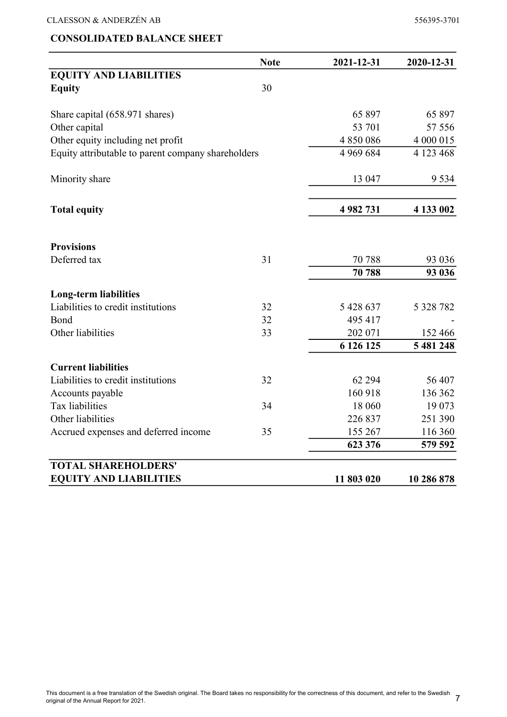## CONSOLIDATED BALANCE SHEET

|                                                    | <b>Note</b> | 2021-12-31    | 2020-12-31 |
|----------------------------------------------------|-------------|---------------|------------|
| <b>EQUITY AND LIABILITIES</b>                      |             |               |            |
| <b>Equity</b>                                      | 30          |               |            |
| Share capital (658.971 shares)                     |             | 65 897        | 65 897     |
| Other capital                                      |             | 53 701        | 57 556     |
| Other equity including net profit                  |             | 4 850 086     | 4 000 015  |
| Equity attributable to parent company shareholders |             | 4 9 6 9 6 8 4 | 4 123 468  |
| Minority share                                     |             | 13 047        | 9 5 3 4    |
| <b>Total equity</b>                                |             | 4 982 731     | 4 133 002  |
| <b>Provisions</b>                                  |             |               |            |
| Deferred tax                                       | 31          | 70 788        | 93 0 36    |
|                                                    |             | 70 788        | 93 036     |
| <b>Long-term liabilities</b>                       |             |               |            |
| Liabilities to credit institutions                 | 32          | 5 428 637     | 5 328 782  |
| Bond                                               | 32          | 495 417       |            |
| Other liabilities                                  | 33          | 202 071       | 152 466    |
|                                                    |             | 6 126 125     | 5 481 248  |
| <b>Current liabilities</b>                         |             |               |            |
| Liabilities to credit institutions                 | 32          | 62 294        | 56 407     |
| Accounts payable                                   |             | 160 918       | 136 362    |
| Tax liabilities                                    | 34          | 18 060        | 19 073     |
| Other liabilities                                  |             | 226 837       | 251 390    |
| Accrued expenses and deferred income               | 35          | 155 267       | 116 360    |
|                                                    |             | 623 376       | 579 592    |
| <b>TOTAL SHAREHOLDERS'</b>                         |             |               |            |
| <b>EQUITY AND LIABILITIES</b>                      |             | 11 803 020    | 10 286 878 |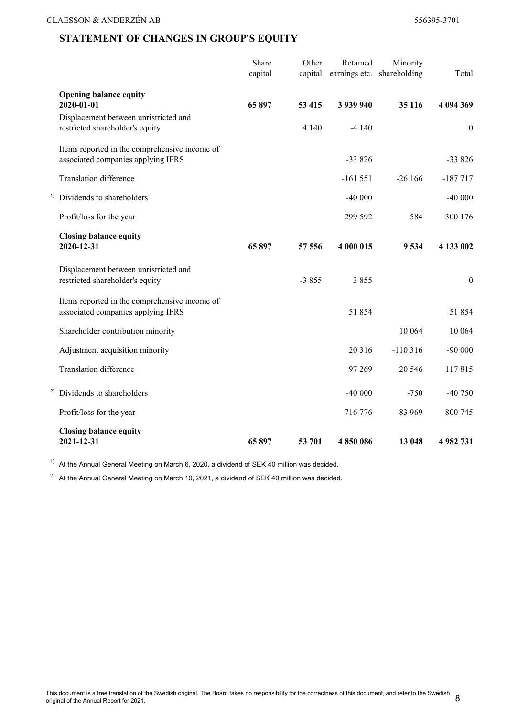## STATEMENT OF CHANGES IN GROUP'S EQUITY

|    |                                                                                     | Share<br>capital | Other<br>capital | Retained<br>earnings etc. | Minority<br>shareholding | Total            |
|----|-------------------------------------------------------------------------------------|------------------|------------------|---------------------------|--------------------------|------------------|
|    | <b>Opening balance equity</b><br>2020-01-01                                         | 65 897           | 53 415           | 3 939 940                 | 35 116                   | 4 094 369        |
|    | Displacement between unristricted and<br>restricted shareholder's equity            |                  | 4 1 4 0          | $-4140$                   |                          | $\boldsymbol{0}$ |
|    | Items reported in the comprehensive income of<br>associated companies applying IFRS |                  |                  | $-33826$                  |                          | $-33826$         |
|    | Translation difference                                                              |                  |                  | $-161551$                 | $-26166$                 | $-187717$        |
|    | <sup>1)</sup> Dividends to shareholders                                             |                  |                  | $-40000$                  |                          | $-40000$         |
|    | Profit/loss for the year                                                            |                  |                  | 299 592                   | 584                      | 300 176          |
|    | <b>Closing balance equity</b><br>2020-12-31                                         | 65897            | 57 556           | 4 000 015                 | 9534                     | 4 133 002        |
|    | Displacement between unristricted and<br>restricted shareholder's equity            |                  | $-3855$          | 3855                      |                          | $\boldsymbol{0}$ |
|    | Items reported in the comprehensive income of<br>associated companies applying IFRS |                  |                  | 51 854                    |                          | 51854            |
|    | Shareholder contribution minority                                                   |                  |                  |                           | 10 064                   | 10 064           |
|    | Adjustment acquisition minority                                                     |                  |                  | 20 316                    | $-110316$                | $-90000$         |
|    | Translation difference                                                              |                  |                  | 97 269                    | 20 546                   | 117815           |
| 2) | Dividends to shareholders                                                           |                  |                  | $-40000$                  | $-750$                   | -40 750          |
|    | Profit/loss for the year                                                            |                  |                  | 716 776                   | 83 969                   | 800 745          |
|    | <b>Closing balance equity</b><br>2021-12-31                                         | 65897            | 53 701           | 4850086                   | 13 048                   | 4 982 731        |

<sup>1)</sup> At the Annual General Meeting on March 6, 2020, a dividend of SEK 40 million was decided.

<sup>2)</sup> At the Annual General Meeting on March 10, 2021, a dividend of SEK 40 million was decided.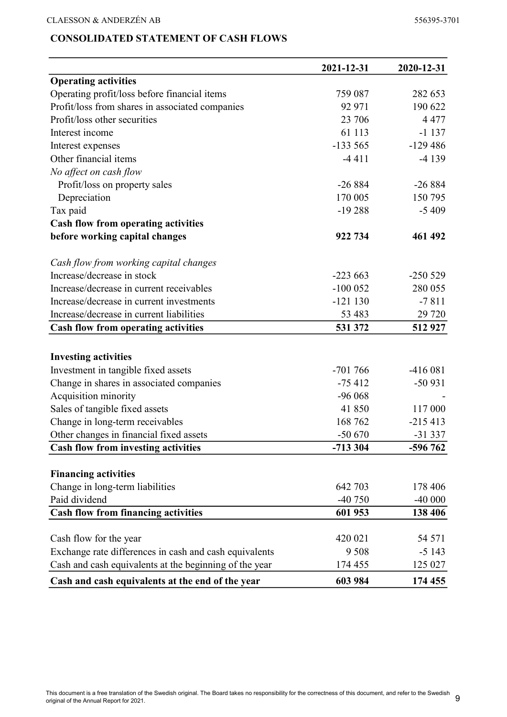## CONSOLIDATED STATEMENT OF CASH FLOWS

| <b>Operating activities</b><br>Operating profit/loss before financial items<br>759 087<br>282 653<br>Profit/loss from shares in associated companies<br>92 971<br>190 622<br>Profit/loss other securities<br>23 706<br>4 4 7 7<br>Interest income<br>61 113<br>$-1137$<br>$-133565$<br>$-129486$<br>Interest expenses<br>Other financial items<br>$-4411$<br>$-4139$<br>No affect on cash flow |
|------------------------------------------------------------------------------------------------------------------------------------------------------------------------------------------------------------------------------------------------------------------------------------------------------------------------------------------------------------------------------------------------|
|                                                                                                                                                                                                                                                                                                                                                                                                |
|                                                                                                                                                                                                                                                                                                                                                                                                |
|                                                                                                                                                                                                                                                                                                                                                                                                |
|                                                                                                                                                                                                                                                                                                                                                                                                |
|                                                                                                                                                                                                                                                                                                                                                                                                |
|                                                                                                                                                                                                                                                                                                                                                                                                |
|                                                                                                                                                                                                                                                                                                                                                                                                |
|                                                                                                                                                                                                                                                                                                                                                                                                |
| $-26884$<br>$-26884$<br>Profit/loss on property sales                                                                                                                                                                                                                                                                                                                                          |
| 170 005<br>150 795<br>Depreciation                                                                                                                                                                                                                                                                                                                                                             |
| Tax paid<br>$-19288$<br>$-5409$                                                                                                                                                                                                                                                                                                                                                                |
| <b>Cash flow from operating activities</b>                                                                                                                                                                                                                                                                                                                                                     |
| before working capital changes<br>922 734<br>461 492                                                                                                                                                                                                                                                                                                                                           |
| Cash flow from working capital changes                                                                                                                                                                                                                                                                                                                                                         |
| Increase/decrease in stock<br>$-223663$<br>$-250529$                                                                                                                                                                                                                                                                                                                                           |
| Increase/decrease in current receivables<br>$-100052$<br>280 055                                                                                                                                                                                                                                                                                                                               |
| $-121130$<br>$-7811$<br>Increase/decrease in current investments                                                                                                                                                                                                                                                                                                                               |
| Increase/decrease in current liabilities<br>53 483<br>29 7 20                                                                                                                                                                                                                                                                                                                                  |
| 531 372<br>512 927<br><b>Cash flow from operating activities</b>                                                                                                                                                                                                                                                                                                                               |
|                                                                                                                                                                                                                                                                                                                                                                                                |
| <b>Investing activities</b>                                                                                                                                                                                                                                                                                                                                                                    |
| $-701766$<br>$-416081$<br>Investment in tangible fixed assets                                                                                                                                                                                                                                                                                                                                  |
| Change in shares in associated companies<br>$-75412$<br>$-50931$                                                                                                                                                                                                                                                                                                                               |
| Acquisition minority<br>$-96068$                                                                                                                                                                                                                                                                                                                                                               |
| Sales of tangible fixed assets<br>41 850<br>117 000                                                                                                                                                                                                                                                                                                                                            |
| 168 762<br>Change in long-term receivables<br>$-215413$                                                                                                                                                                                                                                                                                                                                        |
| Other changes in financial fixed assets<br>$-50670$<br>$-31337$                                                                                                                                                                                                                                                                                                                                |
| <b>Cash flow from investing activities</b><br>-713 304<br>-596 762                                                                                                                                                                                                                                                                                                                             |
|                                                                                                                                                                                                                                                                                                                                                                                                |
| <b>Financing activities</b>                                                                                                                                                                                                                                                                                                                                                                    |
| Change in long-term liabilities<br>642 703<br>178 406                                                                                                                                                                                                                                                                                                                                          |
| Paid dividend<br>$-40750$<br>$-40000$                                                                                                                                                                                                                                                                                                                                                          |
| <b>Cash flow from financing activities</b><br>601 953<br>138 406                                                                                                                                                                                                                                                                                                                               |
|                                                                                                                                                                                                                                                                                                                                                                                                |
| Cash flow for the year<br>420 021<br>54 571                                                                                                                                                                                                                                                                                                                                                    |
| Exchange rate differences in cash and cash equivalents<br>9 5 0 8<br>$-5143$                                                                                                                                                                                                                                                                                                                   |
| Cash and cash equivalents at the beginning of the year<br>125 027<br>174 455                                                                                                                                                                                                                                                                                                                   |
| Cash and cash equivalents at the end of the year<br>603 984<br>174 455                                                                                                                                                                                                                                                                                                                         |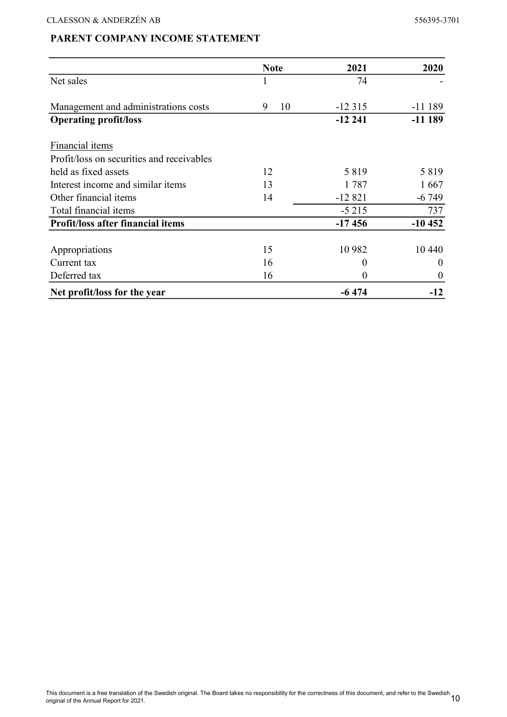## PARENT COMPANY INCOME STATEMENT

|                                           | <b>Note</b> | 2021     | 2020     |
|-------------------------------------------|-------------|----------|----------|
| Net sales                                 |             | 74       |          |
| Management and administrations costs      | 10<br>9     | $-12315$ | $-11189$ |
| <b>Operating profit/loss</b>              |             | $-12241$ | $-11189$ |
| Financial items                           |             |          |          |
| Profit/loss on securities and receivables |             |          |          |
| held as fixed assets                      | 12          | 5819     | 5819     |
| Interest income and similar items         | 13          | 1787     | 1667     |
| Other financial items                     | 14          | $-12821$ | $-6749$  |
| Total financial items                     |             | $-5215$  | 737      |
| <b>Profit/loss after financial items</b>  |             | $-17456$ | $-10452$ |
| Appropriations                            | 15          | 10 9 82  | 10 440   |
| Current tax                               | 16          | $\theta$ | 0        |
| Deferred tax                              | 16          | 0        | 0        |
| Net profit/loss for the year              |             | $-6474$  | $-12$    |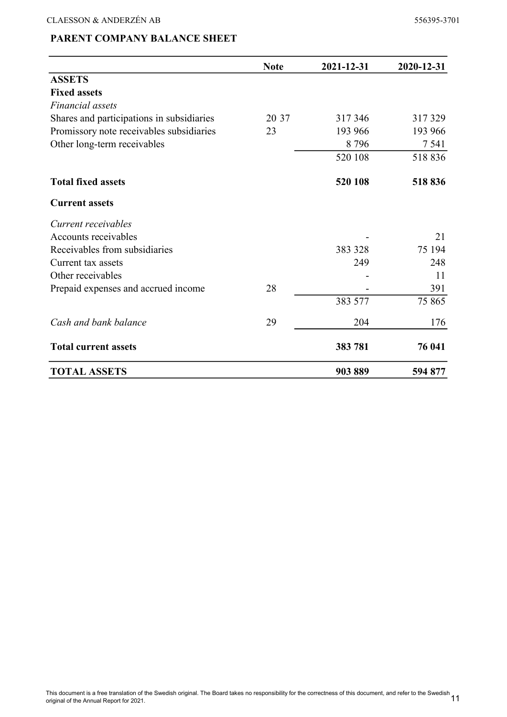## PARENT COMPANY BALANCE SHEET

|                                           | <b>Note</b> | 2021-12-31 | 2020-12-31 |
|-------------------------------------------|-------------|------------|------------|
| <b>ASSETS</b>                             |             |            |            |
| <b>Fixed assets</b>                       |             |            |            |
| Financial assets                          |             |            |            |
| Shares and participations in subsidiaries | 20 37       | 317346     | 317329     |
| Promissory note receivables subsidiaries  | 23          | 193 966    | 193 966    |
| Other long-term receivables               |             | 8796       | 7 5 4 1    |
|                                           |             | 520 108    | 518836     |
| <b>Total fixed assets</b>                 |             | 520 108    | 518836     |
| <b>Current assets</b>                     |             |            |            |
| Current receivables                       |             |            |            |
| Accounts receivables                      |             |            | 21         |
| Receivables from subsidiaries             |             | 383 328    | 75 194     |
| Current tax assets                        |             | 249        | 248        |
| Other receivables                         |             |            | 11         |
| Prepaid expenses and accrued income       | 28          |            | 391        |
|                                           |             | 383 577    | 75 865     |
| Cash and bank balance                     | 29          | 204        | 176        |
| <b>Total current assets</b>               |             | 383 781    | 76 041     |
| <b>TOTAL ASSETS</b>                       |             | 903889     | 594 877    |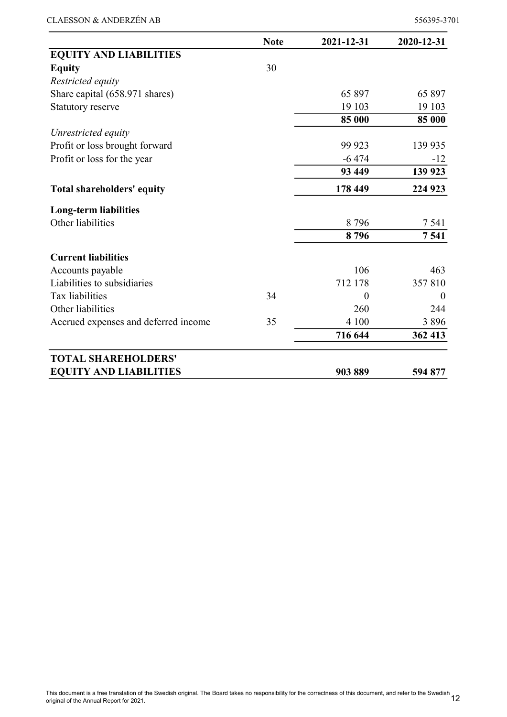|                                      | <b>Note</b> | 2021-12-31 | 2020-12-31 |
|--------------------------------------|-------------|------------|------------|
| <b>EQUITY AND LIABILITIES</b>        |             |            |            |
| <b>Equity</b>                        | 30          |            |            |
| Restricted equity                    |             |            |            |
| Share capital (658.971 shares)       |             | 65 897     | 65 897     |
| Statutory reserve                    |             | 19 103     | 19 103     |
|                                      |             | 85 000     | 85 000     |
| Unrestricted equity                  |             |            |            |
| Profit or loss brought forward       |             | 99 923     | 139 935    |
| Profit or loss for the year          |             | $-6474$    | $-12$      |
|                                      |             | 93 449     | 139 923    |
| <b>Total shareholders' equity</b>    |             | 178 449    | 224 923    |
| <b>Long-term liabilities</b>         |             |            |            |
| Other liabilities                    |             | 8796       | 7 5 4 1    |
|                                      |             | 8796       | 7541       |
| <b>Current liabilities</b>           |             |            |            |
| Accounts payable                     |             | 106        | 463        |
| Liabilities to subsidiaries          |             | 712 178    | 357810     |
| Tax liabilities                      | 34          | $\Omega$   | $\Omega$   |
| Other liabilities                    |             | 260        | 244        |
| Accrued expenses and deferred income | 35          | 4 100      | 3896       |
|                                      |             | 716 644    | 362 413    |
| <b>TOTAL SHAREHOLDERS'</b>           |             |            |            |
| <b>EQUITY AND LIABILITIES</b>        |             | 903889     | 594 877    |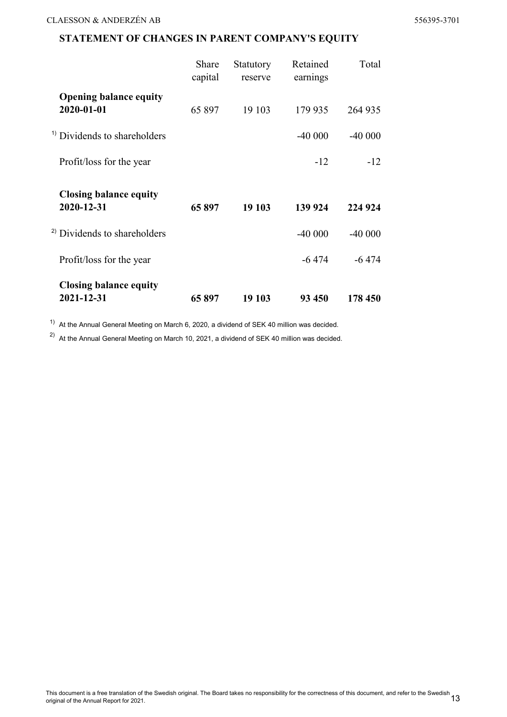## STATEMENT OF CHANGES IN PARENT COMPANY'S EQUITY

|                                             | Share<br>capital | Statutory<br>reserve | Retained<br>earnings | Total    |
|---------------------------------------------|------------------|----------------------|----------------------|----------|
| <b>Opening balance equity</b><br>2020-01-01 | 65 897           | 19 103               | 179 935              | 264 935  |
| <sup>1)</sup> Dividends to shareholders     |                  |                      | $-40000$             | $-40000$ |
| Profit/loss for the year                    |                  |                      | $-12$                | $-12$    |
|                                             |                  |                      |                      |          |
| <b>Closing balance equity</b><br>2020-12-31 | 65897            | 19 103               | 139 924              | 224 924  |
| <sup>2)</sup> Dividends to shareholders     |                  |                      | $-40000$             | $-40000$ |
| Profit/loss for the year                    |                  |                      | $-6474$              | $-6474$  |

 $1)$  At the Annual General Meeting on March 6, 2020, a dividend of SEK 40 million was decided.

<sup>2)</sup> At the Annual General Meeting on March 10, 2021, a dividend of SEK 40 million was decided.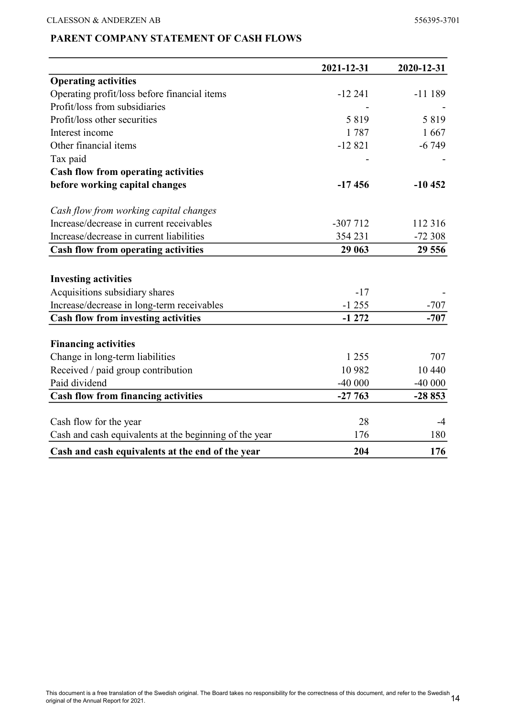## PARENT COMPANY STATEMENT OF CASH FLOWS

|                                                        | 2021-12-31 | 2020-12-31 |
|--------------------------------------------------------|------------|------------|
| <b>Operating activities</b>                            |            |            |
| Operating profit/loss before financial items           | $-12241$   | $-11189$   |
| Profit/loss from subsidiaries                          |            |            |
| Profit/loss other securities                           | 5819       | 5819       |
| Interest income                                        | 1787       | 1667       |
| Other financial items                                  | $-12821$   | $-6749$    |
| Tax paid                                               |            |            |
| <b>Cash flow from operating activities</b>             |            |            |
| before working capital changes                         | $-17456$   | $-10452$   |
| Cash flow from working capital changes                 |            |            |
| Increase/decrease in current receivables               | $-307712$  | 112 316    |
| Increase/decrease in current liabilities               | 354 231    | $-72308$   |
| <b>Cash flow from operating activities</b>             | 29 063     | 29 556     |
|                                                        |            |            |
| <b>Investing activities</b>                            |            |            |
| Acquisitions subsidiary shares                         | $-17$      |            |
| Increase/decrease in long-term receivables             | $-1255$    | $-707$     |
| <b>Cash flow from investing activities</b>             | $-1272$    | $-707$     |
| <b>Financing activities</b>                            |            |            |
| Change in long-term liabilities                        | 1 2 5 5    | 707        |
| Received / paid group contribution                     | 10 982     | 10 440     |
| Paid dividend                                          | $-40000$   | $-40000$   |
| <b>Cash flow from financing activities</b>             | $-27763$   | $-28853$   |
|                                                        |            |            |
| Cash flow for the year                                 | 28         | $-4$       |
| Cash and cash equivalents at the beginning of the year | 176        | 180        |
| Cash and cash equivalents at the end of the year       | 204        | 176        |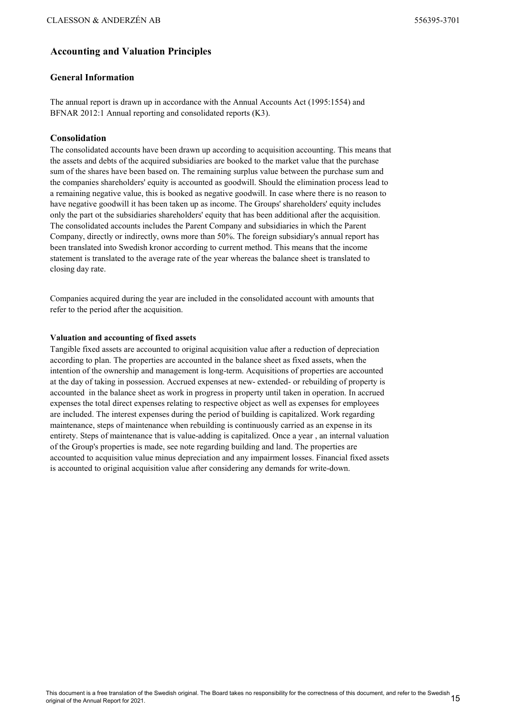## Accounting and Valuation Principles

#### General Information

The annual report is drawn up in accordance with the Annual Accounts Act (1995:1554) and BFNAR 2012:1 Annual reporting and consolidated reports (K3).

#### Consolidation

The consolidated accounts have been drawn up according to acquisition accounting. This means that the assets and debts of the acquired subsidiaries are booked to the market value that the purchase sum of the shares have been based on. The remaining surplus value between the purchase sum and the companies shareholders' equity is accounted as goodwill. Should the elimination process lead to a remaining negative value, this is booked as negative goodwill. In case where there is no reason to have negative goodwill it has been taken up as income. The Groups' shareholders' equity includes only the part ot the subsidiaries shareholders' equity that has been additional after the acquisition. The consolidated accounts includes the Parent Company and subsidiaries in which the Parent Company, directly or indirectly, owns more than 50%. The foreign subsidiary's annual report has been translated into Swedish kronor according to current method. This means that the income statement is translated to the average rate of the year whereas the balance sheet is translated to closing day rate.

Companies acquired during the year are included in the consolidated account with amounts that refer to the period after the acquisition.

#### Valuation and accounting of fixed assets

Tangible fixed assets are accounted to original acquisition value after a reduction of depreciation according to plan. The properties are accounted in the balance sheet as fixed assets, when the intention of the ownership and management is long-term. Acquisitions of properties are accounted at the day of taking in possession. Accrued expenses at new- extended- or rebuilding of property is accounted in the balance sheet as work in progress in property until taken in operation. In accrued expenses the total direct expenses relating to respective object as well as expenses for employees are included. The interest expenses during the period of building is capitalized. Work regarding maintenance, steps of maintenance when rebuilding is continuously carried as an expense in its entirety. Steps of maintenance that is value-adding is capitalized. Once a year , an internal valuation of the Group's properties is made, see note regarding building and land. The properties are accounted to acquisition value minus depreciation and any impairment losses. Financial fixed assets is accounted to original acquisition value after considering any demands for write-down.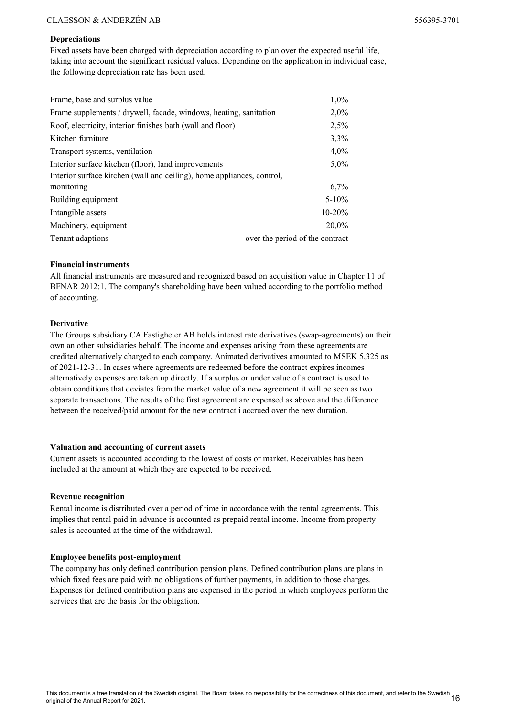#### Depreciations

Fixed assets have been charged with depreciation according to plan over the expected useful life, taking into account the significant residual values. Depending on the application in individual case, the following depreciation rate has been used.

| Frame, base and surplus value                                          | $1,0\%$                         |
|------------------------------------------------------------------------|---------------------------------|
| Frame supplements / drywell, facade, windows, heating, sanitation      | $2,0\%$                         |
| Roof, electricity, interior finishes bath (wall and floor)             | 2,5%                            |
| Kitchen furniture                                                      | 3,3%                            |
| Transport systems, ventilation                                         | $4,0\%$                         |
| Interior surface kitchen (floor), land improvements                    | $5,0\%$                         |
| Interior surface kitchen (wall and ceiling), home appliances, control, |                                 |
| monitoring                                                             | 6,7%                            |
| Building equipment                                                     | $5 - 10\%$                      |
| Intangible assets                                                      | $10 - 20%$                      |
| Machinery, equipment                                                   | 20,0%                           |
| Tenant adaptions                                                       | over the period of the contract |

#### Financial instruments

All financial instruments are measured and recognized based on acquisition value in Chapter 11 of BFNAR 2012:1. The company's shareholding have been valued according to the portfolio method of accounting.

#### Derivative

The Groups subsidiary CA Fastigheter AB holds interest rate derivatives (swap-agreements) on their own an other subsidiaries behalf. The income and expenses arising from these agreements are credited alternatively charged to each company. Animated derivatives amounted to MSEK 5,325 as of 2021-12-31. In cases where agreements are redeemed before the contract expires incomes alternatively expenses are taken up directly. If a surplus or under value of a contract is used to obtain conditions that deviates from the market value of a new agreement it will be seen as two separate transactions. The results of the first agreement are expensed as above and the difference between the received/paid amount for the new contract i accrued over the new duration.

#### Valuation and accounting of current assets

Current assets is accounted according to the lowest of costs or market. Receivables has been included at the amount at which they are expected to be received.

#### Revenue recognition

Rental income is distributed over a period of time in accordance with the rental agreements. This implies that rental paid in advance is accounted as prepaid rental income. Income from property sales is accounted at the time of the withdrawal.

#### Employee benefits post-employment

The company has only defined contribution pension plans. Defined contribution plans are plans in which fixed fees are paid with no obligations of further payments, in addition to those charges. Expenses for defined contribution plans are expensed in the period in which employees perform the services that are the basis for the obligation.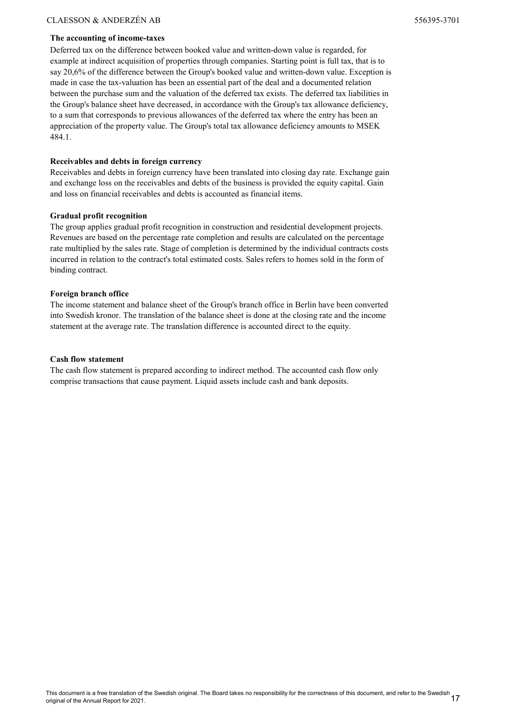#### The accounting of income-taxes

Deferred tax on the difference between booked value and written-down value is regarded, for example at indirect acquisition of properties through companies. Starting point is full tax, that is to say 20,6% of the difference between the Group's booked value and written-down value. Exception is made in case the tax-valuation has been an essential part of the deal and a documented relation between the purchase sum and the valuation of the deferred tax exists. The deferred tax liabilities in the Group's balance sheet have decreased, in accordance with the Group's tax allowance deficiency, to a sum that corresponds to previous allowances of the deferred tax where the entry has been an appreciation of the property value. The Group's total tax allowance deficiency amounts to MSEK 484.1.

#### Receivables and debts in foreign currency

Receivables and debts in foreign currency have been translated into closing day rate. Exchange gain and exchange loss on the receivables and debts of the business is provided the equity capital. Gain and loss on financial receivables and debts is accounted as financial items.

#### Gradual profit recognition

The group applies gradual profit recognition in construction and residential development projects. Revenues are based on the percentage rate completion and results are calculated on the percentage rate multiplied by the sales rate. Stage of completion is determined by the individual contracts costs incurred in relation to the contract's total estimated costs. Sales refers to homes sold in the form of binding contract.

#### Foreign branch office

The income statement and balance sheet of the Group's branch office in Berlin have been converted into Swedish kronor. The translation of the balance sheet is done at the closing rate and the income statement at the average rate. The translation difference is accounted direct to the equity.

#### Cash flow statement

The cash flow statement is prepared according to indirect method. The accounted cash flow only comprise transactions that cause payment. Liquid assets include cash and bank deposits.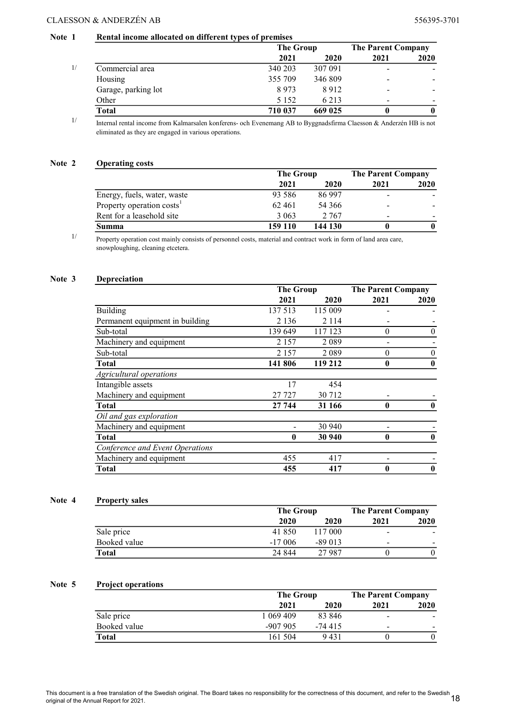#### Note 1 Rental income allocated on different types of premises

|                                                                                                                                                                                       |                | The Group                                                                                             |                       | <b>The Parent Company</b> |
|---------------------------------------------------------------------------------------------------------------------------------------------------------------------------------------|----------------|-------------------------------------------------------------------------------------------------------|-----------------------|---------------------------|
|                                                                                                                                                                                       | 2021           | 2020                                                                                                  | 2021                  | 2020                      |
| Commercial area                                                                                                                                                                       | 340 203        | 307 091                                                                                               |                       |                           |
| Housing                                                                                                                                                                               | 355 709        | 346 809                                                                                               | -                     |                           |
| Garage, parking lot                                                                                                                                                                   | 8973           | 8912                                                                                                  |                       |                           |
| Other                                                                                                                                                                                 | 5 1 5 2        | 6 2 1 3                                                                                               |                       |                           |
| <b>Total</b>                                                                                                                                                                          | 710 037        | 669 025                                                                                               |                       |                           |
| $T \times 1$<br>$\mathbf{Y}$ and $\mathbf{Y}$ and $\mathbf{Y}$ and $\mathbf{Y}$ and $\mathbf{Y}$ and $\mathbf{Y}$ and $\mathbf{Y}$ and $\mathbf{Y}$<br>$\sim$<br>$\sim$ $\sim$ $\sim$ | $\blacksquare$ | $\mathbf{A} \mathbf{D}$ , $\mathbf{D} \mathbf{D}$ , $\mathbf{A} \mathbf{C}$ , $\mathbf{A} \mathbf{D}$ | $0 + 1$ / $\sqrt{10}$ |                           |

Internal rental income from Kalmarsalen konferens- och Evenemang AB to Byggnadsfirma Claesson & Anderzén HB is not eliminated as they are engaged in various operations.

#### Note 2 Operating costs

|                                       | The Group |         | <b>The Parent Company</b> |      |
|---------------------------------------|-----------|---------|---------------------------|------|
|                                       | 2021      | 2020    | 2021                      | 2020 |
| Energy, fuels, water, waste           | 93 5 8 6  | 86 997  | -                         |      |
| Property operation costs <sup>1</sup> | 62461     | 54 366  | -                         |      |
| Rent for a leasehold site             | 3 0 6 3   | 2.767   | -                         |      |
| Summa                                 | 159 110   | 144 130 |                           |      |

Property operation cost mainly consists of personnel costs, material and contract work in form of land area care, snowploughing, cleaning etcetera.

#### Note 3 Depreciation

1/

|                                 | <b>The Group</b> |         | <b>The Parent Company</b> |              |
|---------------------------------|------------------|---------|---------------------------|--------------|
|                                 | 2021             | 2020    | 2021                      | 2020         |
| <b>Building</b>                 | 137 513          | 115 009 |                           |              |
| Permanent equipment in building | 2 1 3 6          | 2 1 1 4 |                           |              |
| Sub-total                       | 139 649          | 117 123 | $\theta$                  | 0            |
| Machinery and equipment         | 2 157            | 2089    |                           |              |
| Sub-total                       | 2 1 5 7          | 2 0 8 9 | 0                         | $\theta$     |
| <b>Total</b>                    | 141 806          | 119 212 | 0                         | $\mathbf{0}$ |
| Agricultural operations         |                  |         |                           |              |
| Intangible assets               | 17               | 454     |                           |              |
| Machinery and equipment         | 27 727           | 30 712  |                           |              |
| <b>Total</b>                    | 27 744           | 31 166  | $\mathbf{0}$              | 0            |
| Oil and gas exploration         |                  |         |                           |              |
| Machinery and equipment         |                  | 30 940  |                           |              |
| <b>Total</b>                    | $\bf{0}$         | 30 940  | $\bf{0}$                  |              |
| Conference and Event Operations |                  |         |                           |              |
| Machinery and equipment         | 455              | 417     |                           |              |
| <b>Total</b>                    | 455              | 417     | 0                         |              |

#### Note 4 Property sales

|              |          | The Group |      | <b>The Parent Company</b> |
|--------------|----------|-----------|------|---------------------------|
|              | 2020     | 2020      | 2021 | 2020                      |
| Sale price   | 41 850   | 117 000   | -    |                           |
| Booked value | $-17006$ | $-89013$  | -    |                           |
| Total        | 24 844   | 27 987    |      |                           |

#### Note 5 Project operations

|              |           | The Group |      | <b>The Parent Company</b> |  |
|--------------|-----------|-----------|------|---------------------------|--|
|              | 2021      | 2020      | 2021 | 2020                      |  |
| Sale price   | 1 069 409 | 83 846    |      |                           |  |
| Booked value | $-907905$ | $-74415$  | -    |                           |  |
| <b>Total</b> | 161 504   | 9 4 3 1   |      |                           |  |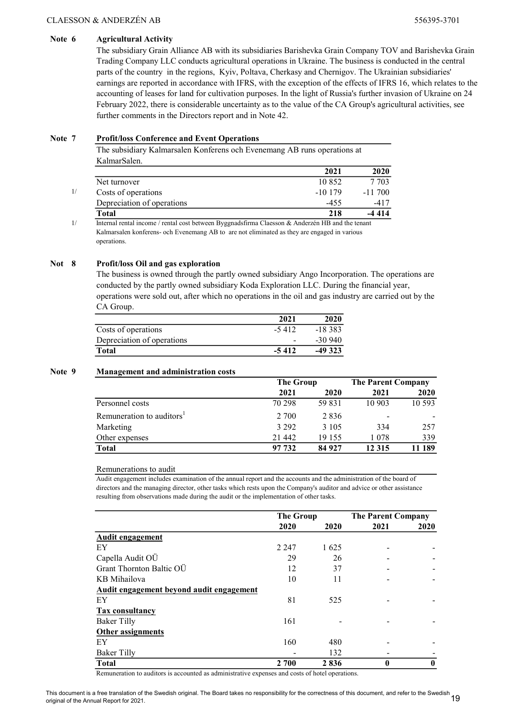#### Note 6 Agricultural Activity

The subsidiary Grain Alliance AB with its subsidiaries Barishevka Grain Company TOV and Barishevka Grain Trading Company LLC conducts agricultural operations in Ukraine. The business is conducted in the central parts of the country in the regions, Kyiv, Poltava, Cherkasy and Chernigov. The Ukrainian subsidiaries' earnings are reported in accordance with IFRS, with the exception of the effects of IFRS 16, which relates to the accounting of leases for land for cultivation purposes. In the light of Russia's further invasion of Ukraine on 24 February 2022, there is considerable uncertainty as to the value of the CA Group's agricultural activities, see further comments in the Directors report and in Note 42.

#### Note 7 Profit/loss Conference and Event Operations

The subsidiary Kalmarsalen Konferens och Evenemang AB runs operations at KalmarSalen.

| 2021     | 2020      |
|----------|-----------|
| 10 852   | 7 7 0 3   |
| $-10179$ | $-11,700$ |
| $-455$   | $-417$    |
| 218      | $-4414$   |
|          |           |

1/ Internal rental income / rental cost between Byggnadsfirma Claesson & Anderzén HB and the tenant Kalmarsalen konferens- och Evenemang AB to are not eliminated as they are engaged in various operations.

#### Not 8 Profit/loss Oil and gas exploration

The business is owned through the partly owned subsidiary Ango Incorporation. The operations are conducted by the partly owned subsidiary Koda Exploration LLC. During the financial year, operations were sold out, after which no operations in the oil and gas industry are carried out by the CA Group.

|                            | 2021    | 2020      |
|----------------------------|---------|-----------|
| Costs of operations        | $-5412$ | $-18.383$ |
| Depreciation of operations |         | $-30940$  |
| Total                      | $-5412$ | $-49323$  |

#### Note 9 Management and administration costs

|                                       | <b>The Group</b> |         | <b>The Parent Company</b> |        |
|---------------------------------------|------------------|---------|---------------------------|--------|
|                                       | 2021             | 2020    | 2021                      | 2020   |
| Personnel costs                       | 70 298           | 59 831  | 10 903                    | 10 593 |
| Remuneration to auditors <sup>1</sup> | 2 700            | 2836    |                           |        |
| Marketing                             | 3 2 9 2          | 3 1 0 5 | 334                       | 257    |
| Other expenses                        | 21 442           | 19 155  | 1078                      | 339    |
| <b>Total</b>                          | 97 732           | 84 927  | 12 3 15                   | 11 189 |

#### Remunerations to audit

Audit engagement includes examination of the annual report and the accounts and the administration of the board of directors and the managing director, other tasks which rests upon the Company's auditor and advice or other assistance resulting from observations made during the audit or the implementation of other tasks.

|                                          | <b>The Group</b> |      | <b>The Parent Company</b> |              |
|------------------------------------------|------------------|------|---------------------------|--------------|
|                                          | 2020             | 2020 | 2021                      | 2020         |
| Audit engagement                         |                  |      |                           |              |
| EY                                       | 2 2 4 7          | 1625 |                           |              |
| Capella Audit OÜ                         | 29               | 26   |                           |              |
| Grant Thornton Baltic OÜ                 | 12               | 37   |                           |              |
| KB Mihailova                             | 10               | 11   |                           |              |
| Audit engagement beyond audit engagement |                  |      |                           |              |
| EY                                       | 81               | 525  |                           |              |
| <b>Tax consultancy</b>                   |                  |      |                           |              |
| <b>Baker Tilly</b>                       | 161              |      |                           |              |
| <b>Other assignments</b>                 |                  |      |                           |              |
| EY                                       | 160              | 480  |                           |              |
| Baker Tilly                              |                  | 132  |                           |              |
| <b>Total</b>                             | 2 700            | 2836 | $\bf{0}$                  | $\mathbf{0}$ |

Remuneration to auditors is accounted as administrative expenses and costs of hotel operations.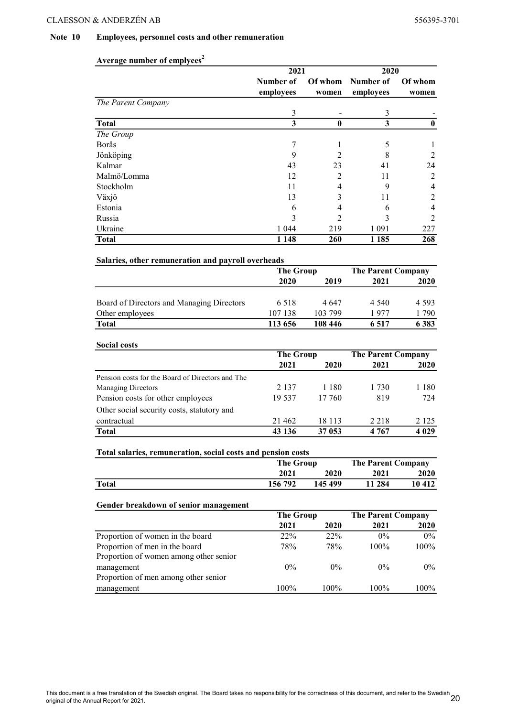#### Note 10 Employees, personnel costs and other remuneration

|                                                              | 2021                     |                     | 2020                              |                     |
|--------------------------------------------------------------|--------------------------|---------------------|-----------------------------------|---------------------|
|                                                              | Number of                | Of whom             | Number of                         | Of whom             |
|                                                              | employees                | women               | employees                         | women               |
| The Parent Company                                           |                          |                     |                                   |                     |
|                                                              | 3                        |                     | 3                                 |                     |
| <b>Total</b>                                                 | $\overline{\mathbf{3}}$  | $\mathbf{0}$        | $\overline{\mathbf{3}}$           | $\bf{0}$            |
| The Group                                                    |                          |                     |                                   |                     |
| Borås                                                        | 7<br>9                   | 1<br>$\overline{2}$ | 5<br>8                            | 1<br>$\overline{2}$ |
| Jönköping<br>Kalmar                                          | 43                       | 23                  | 41                                | 24                  |
| Malmö/Lomma                                                  | 12                       | 2                   | 11                                | $\overline{2}$      |
| Stockholm                                                    | 11                       | $\overline{4}$      | 9                                 | $\overline{4}$      |
| Växjö                                                        | 13                       | 3                   | 11                                | $\overline{c}$      |
| Estonia                                                      | 6                        | $\overline{4}$      | 6                                 | $\overline{4}$      |
| Russia                                                       | 3                        | 2                   | 3                                 | $\overline{2}$      |
| Ukraine                                                      | 1 0 4 4                  | 219                 | 1 0 9 1                           | 227                 |
| <b>Total</b>                                                 | 1 1 4 8                  | 260                 | 1 1 8 5                           | 268                 |
|                                                              |                          |                     |                                   |                     |
| Salaries, other remuneration and payroll overheads           | <b>The Group</b>         |                     | <b>The Parent Company</b>         |                     |
|                                                              | 2020                     | 2019                | 2021                              | 2020                |
|                                                              |                          |                     |                                   |                     |
| Board of Directors and Managing Directors                    | 6518                     | 4647                | 4 5 4 0                           | 4 5 9 3             |
| Other employees                                              | 107 138                  | 103 799             | 1977                              | 1790                |
| <b>Total</b>                                                 | 113 656                  | 108 446             | 6517                              | 6383                |
|                                                              |                          |                     |                                   |                     |
| <b>Social costs</b>                                          |                          |                     |                                   |                     |
|                                                              | <b>The Group</b><br>2021 | 2020                | <b>The Parent Company</b><br>2021 | 2020                |
|                                                              |                          |                     |                                   |                     |
| Pension costs for the Board of Directors and The             |                          |                     |                                   |                     |
| <b>Managing Directors</b>                                    | 2 1 3 7<br>19537         | 1 1 8 0             | 1 7 3 0                           | 1 1 8 0<br>724      |
| Pension costs for other employees                            |                          | 17 760              | 819                               |                     |
| Other social security costs, statutory and                   |                          |                     |                                   |                     |
| contractual                                                  | 21 4 62                  | 18 113              | 2 2 1 8                           | 2 1 2 5             |
| <b>Total</b>                                                 | 43 136                   | 37 053              | 4767                              | 4 0 29              |
| Total salaries, remuneration, social costs and pension costs |                          |                     |                                   |                     |
|                                                              | <b>The Group</b>         |                     | <b>The Parent Company</b>         |                     |
|                                                              | 2021                     | 2020                | 2021                              | 2020                |
| <b>Total</b>                                                 | 156 792                  | 145 499             | 11 284                            | 10 412              |
| Gender breakdown of senior management                        |                          |                     |                                   |                     |
|                                                              | <b>The Group</b>         |                     | <b>The Parent Company</b>         |                     |
|                                                              | 2021                     | 2020                | 2021                              | <b>2020</b>         |
| Proportion of women in the board                             | 22%                      | 22%                 | $0\%$                             | $0\%$               |
| Proportion of men in the board                               | 78%                      | 78%                 | 100%                              | 100%                |
| Proportion of women among other senior                       |                          |                     |                                   |                     |
|                                                              |                          |                     |                                   |                     |
| management                                                   | $0\%$                    | $0\%$               | $0\%$                             | $0\%$               |
| Proportion of men among other senior<br>management           | 100%                     | 100%                | 100%                              |                     |

## Average number of emplyees<sup>2</sup>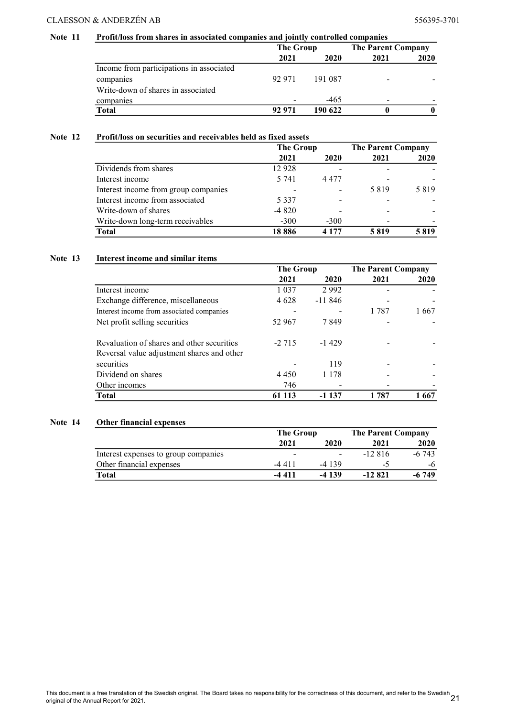#### Note 11 Profit/loss from shares in associated companies and jointly controlled companies

|                                          | The Group |         | <b>The Parent Company</b> |      |
|------------------------------------------|-----------|---------|---------------------------|------|
|                                          | 2021      | 2020    | 2021                      | 2020 |
| Income from participations in associated |           |         |                           |      |
| companies                                | 92.971    | 191 087 |                           |      |
| Write-down of shares in associated       |           |         |                           |      |
| companies                                |           | $-465$  |                           |      |
| <b>Total</b>                             | 92 971    | 190 622 |                           |      |

#### Note 12 Profit/loss on securities and receivables held as fixed assets

|                                      | <b>The Group</b> |         | <b>The Parent Company</b> |      |
|--------------------------------------|------------------|---------|---------------------------|------|
|                                      | 2021             | 2020    | 2021                      | 2020 |
| Dividends from shares                | 12928            |         |                           |      |
| Interest income                      | 5 741            | 4 4 7 7 |                           |      |
| Interest income from group companies |                  |         | 5819                      | 5819 |
| Interest income from associated      | 5 3 3 7          |         |                           |      |
| Write-down of shares                 | $-4820$          |         |                           |      |
| Write-down long-term receivables     | $-300$           | $-300$  |                           |      |
| <b>Total</b>                         | 18886            | 4 1 7 7 | 5819                      | 5819 |

#### Note 13 Interest income and similar items

|                                            | <b>The Group</b> |          | <b>The Parent Company</b> |       |
|--------------------------------------------|------------------|----------|---------------------------|-------|
|                                            | 2021             | 2020     | 2021                      | 2020  |
| Interest income                            | 1 0 3 7          | 2992     |                           |       |
| Exchange difference, miscellaneous         | 4 6 2 8          | $-11846$ |                           |       |
| Interest income from associated companies  |                  |          | 1 787                     | 1 667 |
| Net profit selling securities              | 52 967           | 7849     |                           |       |
| Revaluation of shares and other securities | $-2.715$         | $-1429$  |                           |       |
| Reversal value adjustment shares and other |                  |          |                           |       |
| securities                                 |                  | 119      |                           |       |
| Dividend on shares                         | 4 4 5 0          | 1 1 7 8  |                           |       |
| Other incomes                              | 746              |          |                           |       |
| Total                                      | 113              | -1 137   | l 787                     | 1 667 |

#### Note 14 Other financial expenses

|                                      | <b>The Group</b> |                          | <b>The Parent Company</b> |         |
|--------------------------------------|------------------|--------------------------|---------------------------|---------|
|                                      | 2021             | 2020                     | 2021                      | 2020    |
| Interest expenses to group companies |                  | $\overline{\phantom{a}}$ | $-12.816$                 | $-6743$ |
| Other financial expenses             | -4411            | $-4139$                  | -1                        | -6      |
| Total                                | $-4411$          | $-4139$                  | $-12821$                  | $-6749$ |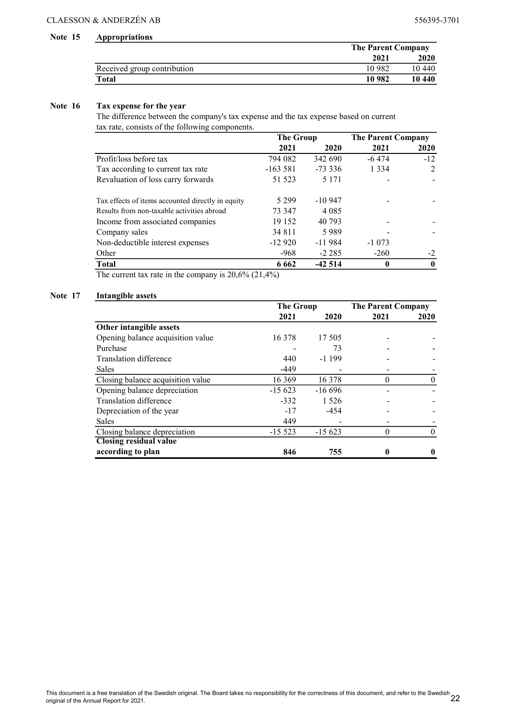#### Note 15 Appropriations

|                             | <b>The Parent Company</b> |        |
|-----------------------------|---------------------------|--------|
|                             | 2021                      | 2020   |
| Received group contribution | 10 982                    | 10 440 |
| Total                       | 10 982                    | 10 440 |

#### Note 16 Tax expense for the year

The difference between the company's tax expense and the tax expense based on current tax rate, consists of the following components.

|                                                   | <b>The Group</b> |           |          |       | <b>The Parent Company</b> |  |
|---------------------------------------------------|------------------|-----------|----------|-------|---------------------------|--|
|                                                   | 2021             | 2020      | 2021     | 2020  |                           |  |
| Profit/loss before tax                            | 794 082          | 342 690   | $-6474$  | $-12$ |                           |  |
| Tax according to current tax rate                 | $-163581$        | $-73.336$ | 1 3 3 4  | 2     |                           |  |
| Revaluation of loss carry forwards                | 51 523           | 5 1 7 1   |          |       |                           |  |
| Tax effects of items accounted directly in equity | 5 2 9 9          | $-10947$  |          |       |                           |  |
| Results from non-taxable activities abroad        | 73 347           | 4 0 8 5   |          |       |                           |  |
| Income from associated companies                  | 19 152           | 40 793    |          |       |                           |  |
| Company sales                                     | 34 8 1 1         | 5989      |          |       |                           |  |
| Non-deductible interest expenses                  | $-12920$         | $-11984$  | $-1073$  |       |                           |  |
| Other                                             | $-968$           | $-2.285$  | $-260$   |       |                           |  |
| <b>Total</b>                                      | 6 6 6 2          | $-42514$  | $\bf{0}$ |       |                           |  |

The current tax rate in the company is  $20,6\%$   $(21,4\%)$ 

#### Note 17 Intangible assets

|                                   | <b>The Group</b> |          | <b>The Parent Company</b> |      |
|-----------------------------------|------------------|----------|---------------------------|------|
|                                   | 2021             | 2020     | 2021                      | 2020 |
| Other intangible assets           |                  |          |                           |      |
| Opening balance acquisition value | 16 378           | 17.505   |                           |      |
| Purchase                          |                  | 73       |                           |      |
| Translation difference            | 440              | $-1199$  |                           |      |
| <b>Sales</b>                      | $-449$           |          |                           |      |
| Closing balance acquisition value | 16 369           | 16 378   |                           |      |
| Opening balance depreciation      | $-15623$         | $-16696$ |                           |      |
| Translation difference            | $-332$           | 1 5 2 6  |                           |      |
| Depreciation of the year          | $-17$            | $-454$   |                           |      |
| <b>Sales</b>                      | 449              |          |                           |      |
| Closing balance depreciation      | $-15523$         | $-15623$ | $\Omega$                  |      |
| <b>Closing residual value</b>     |                  |          |                           |      |
| according to plan                 | 846              | 755      | 0                         |      |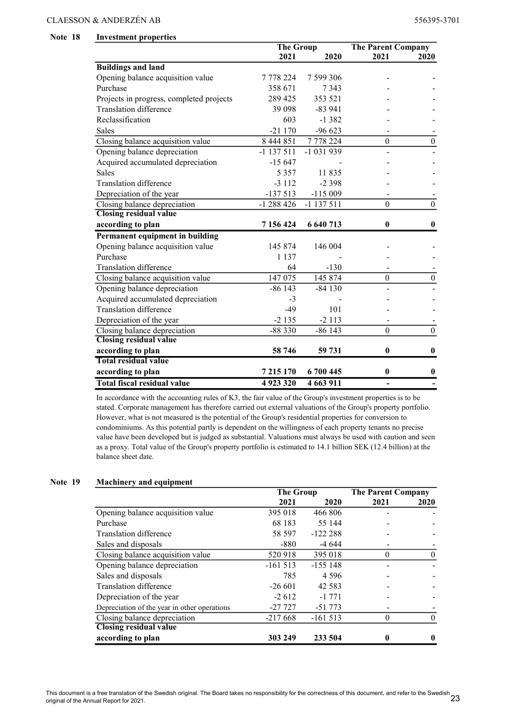#### Note 18 Investment properties

|                                          | <b>The Group</b> |              | <b>The Parent Company</b> |                  |
|------------------------------------------|------------------|--------------|---------------------------|------------------|
|                                          | 2021             | 2020         | 2021                      | 2020             |
| <b>Buildings and land</b>                |                  |              |                           |                  |
| Opening balance acquisition value        | 7 778 224        | 7 599 306    |                           |                  |
| Purchase                                 | 358 671          | 7 3 4 3      |                           |                  |
| Projects in progress, completed projects | 289 425          | 353 521      |                           |                  |
| <b>Translation difference</b>            | 39 0 98          | $-83941$     |                           |                  |
| Reclassification                         | 603              | $-1382$      |                           |                  |
| Sales                                    | $-21170$         | $-96623$     |                           |                  |
| Closing balance acquisition value        | 8 444 851        | 7778224      | $\boldsymbol{0}$          | $\boldsymbol{0}$ |
| Opening balance depreciation             | $-1137511$       | $-1031939$   |                           |                  |
| Acquired accumulated depreciation        | $-15647$         |              |                           |                  |
| <b>Sales</b>                             | 5 3 5 7          | 11835        |                           |                  |
| <b>Translation difference</b>            | $-3112$          | $-2398$      |                           |                  |
| Depreciation of the year                 | $-137513$        | $-115009$    |                           |                  |
| Closing balance depreciation             | $-1288426$       | $-1$ 137 511 | $\Omega$                  | $\theta$         |
| <b>Closing residual value</b>            |                  |              |                           |                  |
| according to plan                        | 7 156 424        | 6 640 713    | $\mathbf{0}$              | 0                |
| Permanent equipment in building          |                  |              |                           |                  |
| Opening balance acquisition value        | 145 874          | 146 004      |                           |                  |
| Purchase                                 | 1 1 3 7          |              |                           |                  |
| <b>Translation difference</b>            | 64               | $-130$       |                           |                  |
| Closing balance acquisition value        | 147 075          | 145 874      | $\theta$                  | $\theta$         |
| Opening balance depreciation             | $-86143$         | $-84130$     |                           |                  |
| Acquired accumulated depreciation        | $-3$             |              |                           |                  |
| <b>Translation difference</b>            | $-49$            | 101          |                           |                  |
| Depreciation of the year                 | $-2135$          | $-2113$      |                           |                  |
| Closing balance depreciation             | $-88330$         | $-86143$     | $\mathbf{0}$              | $\overline{0}$   |
| <b>Closing residual value</b>            |                  |              |                           |                  |
| according to plan                        | 58 746           | 59 731       | $\mathbf{0}$              | 0                |
| <b>Total residual value</b>              |                  |              |                           |                  |
| according to plan                        | 7 2 1 5 1 7 0    | 6 700 445    | $\bf{0}$                  | 0                |
| <b>Total fiscal residual value</b>       | 4923320          | 4 663 911    | $\overline{\phantom{0}}$  |                  |

In accordance with the accounting rules of K3, the fair value of the Group's investment properties is to be stated. Corporate management has therefore carried out external valuations of the Group's property portfolio. However, what is not measured is the potential of the Group's residential properties for conversion to condominiums. As this potential partly is dependent on the willingness of each property tenants no precise value have been developed but is judged as substantial. Valuations must always be used with caution and seen as a proxy. Total value of the Group's property portfolio is estimated to 14.1 billion SEK (12.4 billion) at the balance sheet date.

#### Note 19 Machinery and equipment

|                                              | The Group |           | <b>The Parent Company</b> |      |
|----------------------------------------------|-----------|-----------|---------------------------|------|
|                                              | 2021      | 2020      | 2021                      | 2020 |
| Opening balance acquisition value            | 395 018   | 466 806   |                           |      |
| Purchase                                     | 68 183    | 55 144    |                           |      |
| Translation difference                       | 58 597    | $-122288$ |                           |      |
| Sales and disposals                          | $-880$    | $-4644$   |                           |      |
| Closing balance acquisition value            | 520 918   | 395 018   | $\theta$                  |      |
| Opening balance depreciation                 | $-161513$ | $-155148$ |                           |      |
| Sales and disposals                          | 785       | 4 5 9 6   |                           |      |
| Translation difference                       | $-26601$  | 42 5 8 3  |                           |      |
| Depreciation of the year                     | $-2612$   | $-1771$   |                           |      |
| Depreciation of the year in other operations | -27 727   | $-51773$  |                           |      |
| Closing balance depreciation                 | $-217668$ | $-161513$ |                           |      |
| <b>Closing residual value</b>                |           |           |                           |      |
| according to plan                            | 303 249   | 233 504   |                           |      |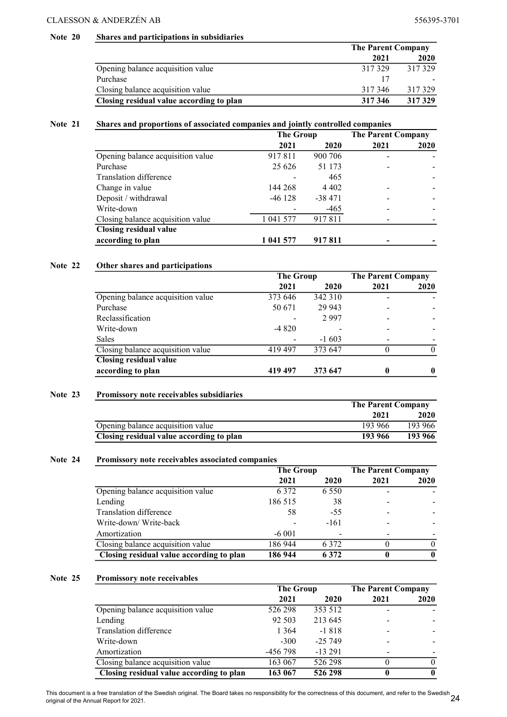#### Note 20 Shares and participations in subsidiaries

|                                          | <b>The Parent Company</b> |        |  |
|------------------------------------------|---------------------------|--------|--|
|                                          | 2021                      | 2020   |  |
| Opening balance acquisition value        | 317329                    | 317329 |  |
| Purchase                                 | 15                        |        |  |
| Closing balance acquisition value        | 317346                    | 317329 |  |
| Closing residual value according to plan | 317 346                   | 317329 |  |

#### Note 21 Shares and proportions of associated companies and jointly controlled companies

|                                   | <b>The Group</b> |          | <b>The Parent Company</b> |      |
|-----------------------------------|------------------|----------|---------------------------|------|
|                                   | 2021             | 2020     | 2021                      | 2020 |
| Opening balance acquisition value | 917811           | 900 706  |                           |      |
| Purchase                          | 25 6 26          | 51 173   |                           |      |
| Translation difference            |                  | 465      |                           |      |
| Change in value                   | 144 268          | 4 4 0 2  |                           |      |
| Deposit / withdrawal              | $-46128$         | $-38471$ |                           |      |
| Write-down                        |                  | $-465$   |                           |      |
| Closing balance acquisition value | 1 041 577        | 917811   |                           |      |
| <b>Closing residual value</b>     |                  |          |                           |      |
| according to plan                 | 1 041 577        | 917811   |                           |      |

#### Note 22 Other shares and participations

|                                   | <b>The Group</b> |         | <b>The Parent Company</b> |      |
|-----------------------------------|------------------|---------|---------------------------|------|
|                                   | 2021             | 2020    | 2021                      | 2020 |
| Opening balance acquisition value | 373 646          | 342 310 |                           |      |
| Purchase                          | 50 671           | 29 943  |                           |      |
| Reclassification                  |                  | 2997    |                           |      |
| Write-down                        | $-4820$          |         |                           |      |
| <b>Sales</b>                      |                  | $-1603$ |                           |      |
| Closing balance acquisition value | 419497           | 373 647 |                           |      |
| <b>Closing residual value</b>     |                  |         |                           |      |
| according to plan                 | 419 497          | 373 647 |                           |      |

#### Note 23 Promissory note receivables subsidiaries

|                                          |         | <b>The Parent Company</b> |  |  |
|------------------------------------------|---------|---------------------------|--|--|
|                                          | 2021    | <b>2020</b>               |  |  |
| Opening balance acquisition value        | 193 966 | 193 966                   |  |  |
| Closing residual value according to plan | 193 966 | 193 966                   |  |  |

#### Note 24 Promissory note receivables associated companies

|                                          | <b>The Group</b> |         | <b>The Parent Company</b> |      |
|------------------------------------------|------------------|---------|---------------------------|------|
|                                          | 2021             | 2020    | 2021                      | 2020 |
| Opening balance acquisition value        | 6 3 7 2          | 6 5 5 0 |                           |      |
| Lending                                  | 186 515          | 38      |                           |      |
| Translation difference                   | 58               | $-55$   |                           |      |
| Write-down/Write-back                    |                  | $-161$  |                           |      |
| Amortization                             | $-6001$          |         |                           |      |
| Closing balance acquisition value        | 186 944          | 6 3 7 2 |                           |      |
| Closing residual value according to plan | 186 944          | 6 3 7 2 |                           | 0    |

#### Note 25 Promissory note receivables

|                                          | The Group |          | <b>The Parent Company</b> |      |
|------------------------------------------|-----------|----------|---------------------------|------|
|                                          | 2021      | 2020     | 2021                      | 2020 |
| Opening balance acquisition value        | 526 298   | 353 512  |                           |      |
| Lending                                  | 92 503    | 213 645  |                           |      |
| Translation difference                   | 1 3 6 4   | -1818    |                           |      |
| Write-down                               | $-300$    | $-25749$ |                           |      |
| Amortization                             | -456 798  | $-13291$ |                           |      |
| Closing balance acquisition value        | 163 067   | 526 298  |                           | 0    |
| Closing residual value according to plan | 163 067   | 526 298  | 0                         | 0    |

This document is a free translation of the Swedish original. The Board takes no responsibility for the correctness of this document, and refer to the Swedish 24<br>24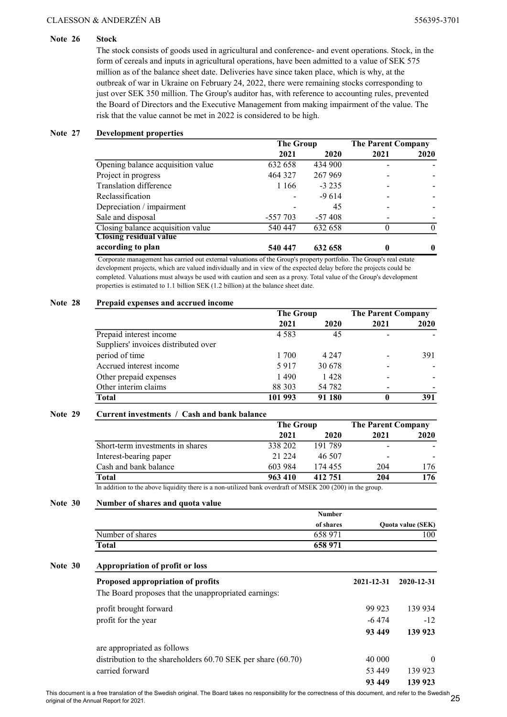#### Note 26 Stock

The stock consists of goods used in agricultural and conference- and event operations. Stock, in the form of cereals and inputs in agricultural operations, have been admitted to a value of SEK 575 million as of the balance sheet date. Deliveries have since taken place, which is why, at the outbreak of war in Ukraine on February 24, 2022, there were remaining stocks corresponding to just over SEK 350 million. The Group's auditor has, with reference to accounting rules, prevented the Board of Directors and the Executive Management from making impairment of the value. The risk that the value cannot be met in 2022 is considered to be high.

#### Note 27 Development properties

|                                   | <b>The Group</b> |          | <b>The Parent Company</b> |      |
|-----------------------------------|------------------|----------|---------------------------|------|
|                                   | 2021             | 2020     | 2021                      | 2020 |
| Opening balance acquisition value | 632 658          | 434 900  |                           |      |
| Project in progress               | 464 327          | 267 969  |                           |      |
| Translation difference            | 1 1 6 6          | $-3235$  |                           |      |
| Reclassification                  |                  | $-9614$  |                           |      |
| Depreciation / impairment         |                  | 45       |                           |      |
| Sale and disposal                 | -557 703         | $-57408$ |                           |      |
| Closing balance acquisition value | 540 447          | 632 658  |                           |      |
| <b>Closing residual value</b>     |                  |          |                           |      |
| according to plan                 | 540 447          | 632 658  |                           |      |

 Corporate management has carried out external valuations of the Group's property portfolio. The Group's real estate development projects, which are valued individually and in view of the expected delay before the projects could be completed. Valuations must always be used with caution and seen as a proxy. Total value of the Group's development properties is estimated to 1.1 billion SEK (1.2 billion) at the balance sheet date.

#### Note 28 Prepaid expenses and accrued income

|                                      | <b>The Group</b> |         | <b>The Parent Company</b> |      |
|--------------------------------------|------------------|---------|---------------------------|------|
|                                      | 2021             | 2020    | 2021                      | 2020 |
| Prepaid interest income              | 4 5 8 3          | 45      |                           |      |
| Suppliers' invoices distributed over |                  |         |                           |      |
| period of time                       | 1 700            | 4 2 4 7 |                           | 391  |
| Accrued interest income              | 5917             | 30 678  |                           |      |
| Other prepaid expenses               | 1490             | 1428    |                           |      |
| Other interim claims                 | 88 303           | 54 782  |                           |      |
| <b>Total</b>                         | 101 993          | 91 180  |                           | 391  |

#### Note 29 Current investments / Cash and bank balance

|                                                                                                            | The Group    |         | <b>The Parent Company</b> |      |
|------------------------------------------------------------------------------------------------------------|--------------|---------|---------------------------|------|
|                                                                                                            | 2021         | 2020    | 2021                      | 2020 |
| Short-term investments in shares                                                                           | 338 202      | 191789  |                           |      |
| Interest-bearing paper                                                                                     | 21 2 2 4     | 46 507  |                           |      |
| Cash and bank balance                                                                                      | 603 984      | 174 455 | 204                       | 176. |
| Total                                                                                                      | 963 410      | 412 751 | 204                       | 176  |
| $\mathbf{Y} = \mathbf{1} \mathbf{1}^T \mathbf{1}^T \cdots \mathbf{1} \mathbf{1}^T \mathbf{1}^T \mathbf{1}$ | $1.11$ $1.1$ |         |                           |      |

In addition to the above liquidity there is a non-utilized bank overdraft of MSEK 200 (200) in the group.

### Note 30 Number of shares and quota value

|                  | <b>Number</b> |                          |
|------------------|---------------|--------------------------|
|                  | of shares     | <b>Ouota value (SEK)</b> |
| Number of shares | 658 971       | 00                       |
| <b>Total</b>     | 658 971       |                          |

#### Note 30 Appropriation of profit or loss

| Proposed appropriation of profits<br>The Board proposes that the unappropriated earnings: | 2021-12-31 | 2020-12-31 |
|-------------------------------------------------------------------------------------------|------------|------------|
| profit brought forward                                                                    | 99 923     | 139 934    |
| profit for the year                                                                       | $-6474$    | $-12$      |
|                                                                                           | 93 449     | 139 923    |
| are appropriated as follows                                                               |            |            |
| distribution to the shareholders $60.70$ SEK per share $(60.70)$                          | 40 000     | $\theta$   |
| carried forward                                                                           | 53 449     | 139 923    |
|                                                                                           | 93 449     | 139 923    |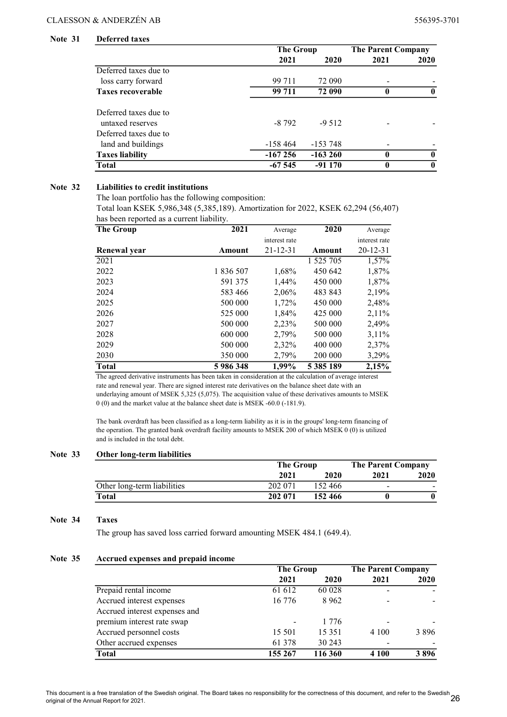#### Note 31 Deferred taxes

|                          |           | <b>The Group</b> |              | <b>The Parent Company</b> |  |
|--------------------------|-----------|------------------|--------------|---------------------------|--|
|                          | 2021      | 2020             | 2021         | <b>2020</b>               |  |
| Deferred taxes due to    |           |                  |              |                           |  |
| loss carry forward       | 99 711    | 72 090           |              |                           |  |
| <b>Taxes recoverable</b> | 99 711    | 72 090           |              |                           |  |
| Deferred taxes due to    |           |                  |              |                           |  |
| untaxed reserves         | $-8792$   | $-9.512$         |              |                           |  |
| Deferred taxes due to    |           |                  |              |                           |  |
| land and buildings       | -158 464  | $-153748$        |              |                           |  |
| <b>Taxes liability</b>   | $-167256$ | $-163260$        | 0            | $\mathbf 0$               |  |
| <b>Total</b>             | $-67545$  | $-91170$         | $\mathbf{0}$ | $\mathbf{0}$              |  |

#### Note 32 Liabilities to credit institutions

The loan portfolio has the following composition:

Total loan KSEK 5,986,348 (5,385,189). Amortization for 2022, KSEK 62,294 (56,407) has been reported as a current liability.

| <b>The Group</b> | 2021      | Average        | 2020      | Average        |
|------------------|-----------|----------------|-----------|----------------|
|                  |           | interest rate  |           | interest rate  |
| Renewal year     | Amount    | $21 - 12 - 31$ | Amount    | $20 - 12 - 31$ |
| 2021             |           |                | 1 525 705 | 1,57%          |
| 2022             | 1 836 507 | 1,68%          | 450 642   | 1,87%          |
| 2023             | 591 375   | 1,44%          | 450 000   | 1,87%          |
| 2024             | 583 466   | 2,06%          | 483 843   | 2,19%          |
| 2025             | 500 000   | 1,72%          | 450 000   | 2,48%          |
| 2026             | 525 000   | 1,84%          | 425 000   | $2,11\%$       |
| 2027             | 500 000   | 2,23%          | 500 000   | 2,49%          |
| 2028             | 600 000   | 2,79%          | 500 000   | $3.11\%$       |
| 2029             | 500 000   | 2,32%          | 400 000   | 2,37%          |
| 2030             | 350 000   | 2,79%          | 200 000   | 3,29%          |
| <b>Total</b>     | 5986348   | 1,99%          | 5 385 189 | 2,15%          |

The agreed derivative instruments has been taken in consideration at the calculation of average interest rate and renewal year. There are signed interest rate derivatives on the balance sheet date with an underlaying amount of MSEK 5,325 (5,075). The acquisition value of these derivatives amounts to MSEK 0 (0) and the market value at the balance sheet date is MSEK -60.0 (-181.9).

The bank overdraft has been classified as a long-term liability as it is in the groups' long-term financing of the operation. The granted bank overdraft facility amounts to MSEK 200 of which MSEK 0 (0) is utilized and is included in the total debt.

#### Note 33 Other long-term liabilities

|                             | The Group |         | <b>The Parent Company</b> |      |
|-----------------------------|-----------|---------|---------------------------|------|
|                             | 2021      | 2020    | 2021                      | 2020 |
| Other long-term liabilities | 202 071   | 152466  | $\overline{\phantom{0}}$  |      |
| Total                       | 202 071   | 152 466 |                           |      |

#### Note 34 Taxes

The group has saved loss carried forward amounting MSEK 484.1 (649.4).

#### Note 35 Accrued expenses and prepaid income

|                               | <b>The Group</b> |          | <b>The Parent Company</b> |      |
|-------------------------------|------------------|----------|---------------------------|------|
|                               | 2021             | 2020     | 2021                      | 2020 |
| Prepaid rental income         | 61 612           | 60 028   |                           |      |
| Accrued interest expenses     | 16 776           | 8 9 6 2  |                           |      |
| Accrued interest expenses and |                  |          |                           |      |
| premium interest rate swap    |                  | 1 7 7 6  |                           |      |
| Accrued personnel costs       | 15 501           | 15 3 5 1 | 4 1 0 0                   | 3896 |
| Other accrued expenses        | 61 378           | 30 243   |                           |      |
| <b>Total</b>                  | 155 267          | 116 360  | 4 1 0 0                   | 3896 |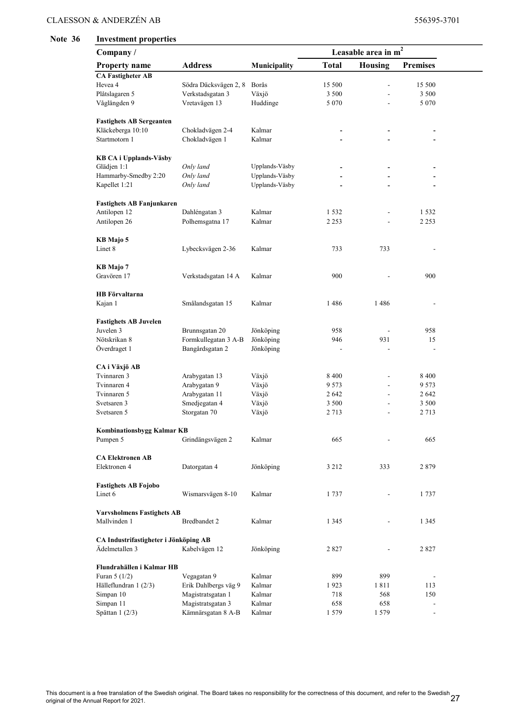#### Note 36 Investment properties

| Company/                                          |                       |                | Leasable area in $m2$ |                |                          |  |
|---------------------------------------------------|-----------------------|----------------|-----------------------|----------------|--------------------------|--|
| <b>Property name</b>                              | <b>Address</b>        | Municipality   | <b>Total</b>          | <b>Housing</b> | <b>Premises</b>          |  |
| <b>CA Fastigheter AB</b>                          |                       |                |                       |                |                          |  |
| Hevea 4                                           | Södra Däcksvägen 2, 8 | Borås          | 15 500                | ÷,             | 15 500                   |  |
| Plåtslagaren 5                                    | Verkstadsgatan 3      | Växjö          | 3 500                 | L.             | 3 500                    |  |
| Våglängden 9                                      | Vretavägen 13         | Huddinge       | 5 0 7 0               | L,             | 5 0 7 0                  |  |
|                                                   |                       |                |                       |                |                          |  |
| <b>Fastighets AB Sergeanten</b>                   |                       |                |                       |                |                          |  |
| Kläckeberga 10:10                                 | Chokladvägen 2-4      | Kalmar         |                       |                |                          |  |
| Startmotorn 1                                     | Chokladvägen 1        | Kalmar         |                       |                |                          |  |
|                                                   |                       |                |                       |                |                          |  |
| <b>KB CA i Upplands-Väsby</b><br>Glädjen 1:1      | Only land             | Upplands-Väsby |                       |                |                          |  |
| Hammarby-Smedby 2:20                              | Only land             | Upplands-Väsby |                       |                |                          |  |
|                                                   |                       | Upplands-Väsby |                       |                |                          |  |
| Kapellet 1:21                                     | Only land             |                |                       |                |                          |  |
| <b>Fastighets AB Fanjunkaren</b>                  |                       |                |                       |                |                          |  |
| Antilopen 12                                      | Dahléngatan 3         | Kalmar         | 1 5 3 2               |                | 1532                     |  |
| Antilopen 26                                      | Polhemsgatna 17       | Kalmar         | 2 2 5 3               |                | 2 2 5 3                  |  |
|                                                   |                       |                |                       |                |                          |  |
| KB Majo 5                                         |                       |                |                       |                |                          |  |
| Linet 8                                           | Lybecksvägen 2-36     | Kalmar         | 733                   | 733            |                          |  |
|                                                   |                       |                |                       |                |                          |  |
| KB Majo 7                                         |                       |                |                       |                |                          |  |
| Gravören 17                                       | Verkstadsgatan 14 A   | Kalmar         | 900                   |                | 900                      |  |
| <b>HB</b> Förvaltarna                             |                       |                |                       |                |                          |  |
| Kajan 1                                           | Smålandsgatan 15      | Kalmar         | 1486                  | 1486           |                          |  |
|                                                   |                       |                |                       |                |                          |  |
| <b>Fastighets AB Juvelen</b>                      |                       |                |                       |                |                          |  |
| Juvelen 3                                         | Brunnsgatan 20        | Jönköping      | 958                   |                | 958                      |  |
| Nötskrikan 8                                      | Formkullegatan 3 A-B  | Jönköping      | 946                   | 931            | 15                       |  |
| Överdraget 1                                      | Bangårdsgatan 2       | Jönköping      |                       | ÷,             |                          |  |
|                                                   |                       |                |                       |                |                          |  |
| CA i Växjö AB                                     |                       |                |                       |                |                          |  |
| Tvinnaren 3                                       | Arabygatan 13         | Växjö          | 8 4 0 0               | L.             | 8 4 0 0                  |  |
| Tvinnaren 4                                       | Arabygatan 9          | Växjö          | 9 573                 | ÷,             | 9573                     |  |
| Tvinnaren 5                                       | Arabygatan 11         | Växjö          | 2 642                 | ÷,             | 2642                     |  |
| Svetsaren 3                                       | Smedjegatan 4         | Växjö          | 3 500                 | ٠              | 3 500                    |  |
| Svetsaren 5                                       | Storgatan 70          | Växjö          | 2 713                 |                | 2 7 1 3                  |  |
| <b>Kombinationsbygg Kalmar KB</b>                 |                       |                |                       |                |                          |  |
| Pumpen 5                                          | Grindängsvägen 2      | Kalmar         | 665                   |                | 665                      |  |
|                                                   |                       |                |                       |                |                          |  |
| <b>CA Elektronen AB</b>                           |                       |                |                       |                |                          |  |
| Elektronen 4                                      | Datorgatan 4          | Jönköping      | 3 2 1 2               | 333            | 2879                     |  |
|                                                   |                       |                |                       |                |                          |  |
| <b>Fastighets AB Fojobo</b>                       |                       |                |                       |                |                          |  |
| Linet 6                                           | Wismarsvägen 8-10     | Kalmar         | 1737                  |                | 1737                     |  |
|                                                   |                       |                |                       |                |                          |  |
| <b>Varvsholmens Fastighets AB</b><br>Mallvinden 1 | Bredbandet 2          | Kalmar         | 1 3 4 5               |                | 1 3 4 5                  |  |
|                                                   |                       |                |                       |                |                          |  |
| CA Industrifastigheter i Jönköping AB             |                       |                |                       |                |                          |  |
| Ädelmetallen 3                                    | Kabelvägen 12         | Jönköping      | 2 827                 |                | 2827                     |  |
|                                                   |                       |                |                       |                |                          |  |
| Flundrahällen i Kalmar HB                         |                       |                |                       |                |                          |  |
| Furan $5(1/2)$                                    | Vegagatan 9           | Kalmar         | 899                   | 899            |                          |  |
| Hälleflundran 1 (2/3)                             | Erik Dahlbergs väg 9  | Kalmar         | 1923                  | 1811           | 113                      |  |
| Simpan 10                                         | Magistratsgatan 1     | Kalmar         | 718                   | 568            | 150                      |  |
| Simpan 11                                         | Magistratsgatan 3     | Kalmar         | 658                   | 658            | $\overline{a}$           |  |
| Spättan 1 (2/3)                                   | Kämnärsgatan 8 A-B    | Kalmar         | 1579                  | 1579           | $\overline{\phantom{a}}$ |  |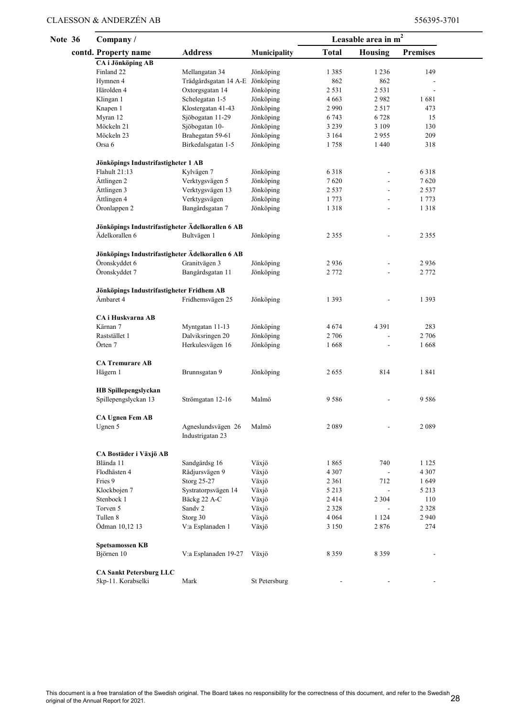Note

| 36 | Company/                                         |                                        |               |              | Leasable area in $m^2$ |                 |  |
|----|--------------------------------------------------|----------------------------------------|---------------|--------------|------------------------|-----------------|--|
|    | contd. Property name                             | <b>Address</b>                         | Municipality  | <b>Total</b> | <b>Housing</b>         | <b>Premises</b> |  |
|    | <b>CA</b> i Jönköping AB                         |                                        |               |              |                        |                 |  |
|    | Finland 22                                       | Mellangatan 34                         | Jönköping     | 1 3 8 5      | 1 2 3 6                | 149             |  |
|    | Hymnen 4                                         | Trädgårdsgatan 14 A-E Jönköping        |               | 862          | 862                    |                 |  |
|    | Härolden 4                                       | Oxtorgsgatan 14                        | Jönköping     | 2 5 3 1      | 2 5 3 1                | ÷,              |  |
|    | Klingan 1                                        | Schelegatan 1-5                        | Jönköping     | 4 6 63       | 2982                   | 1681            |  |
|    | Knapen 1                                         | Klostergatan 41-43                     | Jönköping     | 2 9 9 0      | 2 5 1 7                | 473             |  |
|    | Myran 12                                         | Sjöbogatan 11-29                       | Jönköping     | 6 7 4 3      | 6 7 2 8                | 15              |  |
|    | Möckeln 21                                       | Sjöbogatan 10-                         | Jönköping     | 3 2 3 9      | 3 109                  | 130             |  |
|    | Möckeln 23                                       | Brahegatan 59-61                       | Jönköping     | 3 1 6 4      | 2955                   | 209             |  |
|    | Orsa 6                                           | Birkedalsgatan 1-5                     | Jönköping     | 1758         | 1 4 4 0                | 318             |  |
|    | Jönköpings Industrifastigheter 1 AB              |                                        |               |              |                        |                 |  |
|    | Flahult 21:13                                    | Kylvägen 7                             | Jönköping     | 6318         |                        | 6318            |  |
|    | Ättlingen 2                                      | Verktygsvägen 5                        | Jönköping     | 7620         | ÷,                     | 7620            |  |
|    | Ättlingen 3                                      | Verktygsvägen 13                       | Jönköping     | 2 5 3 7      |                        | 2 5 3 7         |  |
|    | Ättlingen 4                                      | Verktygsvägen                          | Jönköping     | 1773         |                        | 1 7 7 3         |  |
|    | Öronlappen 2                                     | Bangårdsgatan 7                        | Jönköping     | 1318         |                        | 1318            |  |
|    | Jönköpings Industrifastigheter Ädelkorallen 6 AB |                                        |               |              |                        |                 |  |
|    | Ädelkorallen 6                                   | Bultvägen 1                            | Jönköping     | 2 3 5 5      |                        | 2 3 5 5         |  |
|    | Jönköpings Industrifastigheter Ädelkorallen 6 AB |                                        |               |              |                        |                 |  |
|    | Öronskyddet 6                                    | Granitvägen 3                          | Jönköping     | 2936         |                        | 2936            |  |
|    | Öronskyddet 7                                    | Bangårdsgatan 11                       | Jönköping     | 2 7 7 2      |                        | 2 7 7 2         |  |
|    | Jönköpings Industrifastigheter Fridhem AB        |                                        |               |              |                        |                 |  |
|    | Ämbaret 4                                        | Fridhemsvägen 25                       | Jönköping     | 1 3 9 3      |                        | 1 3 9 3         |  |
|    | CA i Huskvarna AB                                |                                        |               |              |                        |                 |  |
|    | Kärnan 7                                         | Myntgatan 11-13                        | Jönköping     | 4674         | 4 3 9 1                | 283             |  |
|    | Raststället 1                                    | Dalviksringen 20                       | Jönköping     | 2 706        | ÷,                     | 2 706           |  |
|    | Örten 7                                          | Herkulesvägen 16                       | Jönköping     | 1668         | $\overline{a}$         | 1668            |  |
|    | <b>CA Tremurare AB</b>                           |                                        |               |              |                        |                 |  |
|    | Hägern 1                                         | Brunnsgatan 9                          | Jönköping     | 2655         | 814                    | 1841            |  |
|    | HB Spillepengslyckan                             |                                        |               |              |                        |                 |  |
|    | Spillepengslyckan 13                             | Strömgatan 12-16                       | Malmö         | 9586         |                        | 9586            |  |
|    | <b>CA Ugnen Fem AB</b>                           |                                        |               |              |                        |                 |  |
|    | Ugnen 5                                          | Agneslundsvägen 26<br>Industrigatan 23 | Malmö         | 2089         |                        | 2089            |  |
|    | CA Bostäder i Växjö AB                           |                                        |               |              |                        |                 |  |
|    | Blända 11                                        | Sandgärdsg 16                          | Växjö         | 1865         | 740                    | 1 1 2 5         |  |
|    | Flodhästen 4                                     | Rådjursvägen 9                         | Växjö         | 4 3 0 7      |                        | 4 3 0 7         |  |
|    | Fries 9                                          | Storg 25-27                            | Växjö         | 2 3 6 1      | 712                    | 1649            |  |
|    | Klockbojen 7                                     | Systratorpsvägen 14                    | Växjö         | 5 2 1 3      | $\blacksquare$         | 5 2 1 3         |  |
|    | Stenbock 1                                       | Bäckg 22 A-C                           | Växjö         | 2414         | 2 3 0 4                | 110             |  |
|    | Torven 5                                         | Sandy 2                                | Växjö         | 2 3 2 8      | ÷,                     | 2 3 2 8         |  |
|    | Tullen 8                                         | Storg 30                               | Växjö         | 4 0 6 4      | 1 1 2 4                | 2 9 4 0         |  |
|    | Ödman 10,12 13                                   | V:a Esplanaden 1                       | Växjö         | 3 1 5 0      | 2876                   | 274             |  |
|    | <b>Spetsamossen KB</b>                           |                                        |               |              |                        |                 |  |
|    | Björnen 10                                       | V:a Esplanaden 19-27                   | Växjö         | 8 3 5 9      | 8 3 5 9                |                 |  |
|    | <b>CA Sankt Petersburg LLC</b>                   |                                        |               |              |                        |                 |  |
|    | 5kp-11. Korabselki                               | Mark                                   | St Petersburg |              |                        |                 |  |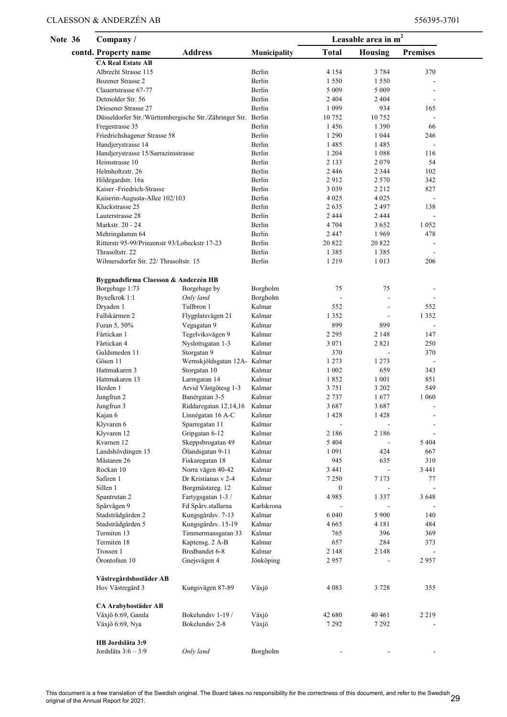| Note 36 | Company/                                                                              | Leasable area in $m2$                  |                  |                    |                           |                 |  |
|---------|---------------------------------------------------------------------------------------|----------------------------------------|------------------|--------------------|---------------------------|-----------------|--|
|         | contd. Property name                                                                  | <b>Address</b>                         | Municipality     | <b>Total</b>       | Housing                   | <b>Premises</b> |  |
|         | <b>CA Real Estate AB</b>                                                              |                                        |                  |                    |                           |                 |  |
|         | Albrecht Strasse 115                                                                  |                                        | Berlin           | 4 1 5 4            | 3 7 8 4                   | 370             |  |
|         | Bozener Strasse 2                                                                     |                                        | Berlin           | 1 5 5 0            | 1 5 5 0                   |                 |  |
|         | Clauertstrasse 67-77                                                                  |                                        | Berlin           | 5 0 0 9            | 5 0 0 9                   |                 |  |
|         | Detmolder Str. 56                                                                     |                                        | Berlin<br>Berlin | 2 4 0 4            | 2 4 0 4<br>934            |                 |  |
|         | Driesener Strasse 27<br>Düsseldorfer Str./Württembergische Str./Zähringer Str. Berlin |                                        |                  | 1 0 9 9<br>10 752  | 10752                     | 165<br>÷,       |  |
|         | Fregestrasse 35                                                                       |                                        | Berlin           | 1456               | 1 3 9 0                   | 66              |  |
|         | Friedrichshagener Strasse 58                                                          |                                        | Berlin           | 1 2 9 0            | 1 0 4 4                   | 246             |  |
|         | Handjerystrasse 14                                                                    |                                        | Berlin           | 1485               | 1485                      | $\sim$          |  |
|         | Handjerystrasse 15/Sarrazinsstrasse                                                   |                                        | Berlin           | 1 2 0 4            | 1088                      | 116             |  |
|         | Heimstrasse 10                                                                        |                                        | Berlin           | 2 1 3 3            | 2079                      | 54              |  |
|         | Helmholtzstr. 26                                                                      |                                        | Berlin           | 2446               | 2 3 4 4                   | 102             |  |
|         | Hildegardstr. 16a                                                                     |                                        | Berlin           | 2912               | 2 5 7 0                   | 342             |  |
|         | Kaiser-Friedrich-Strasse                                                              |                                        | Berlin           | 3 0 3 9            | 2 2 1 2                   | 827             |  |
|         | Kaiserin-Augusta-Allee 102/103                                                        |                                        | Berlin           | 4 0 2 5            | 4 0 2 5                   | ÷,              |  |
|         | Kluckstrasse 25                                                                       |                                        | Berlin           | 2635               | 2 4 9 7                   | 138             |  |
|         | Lauterstrasse 28<br>Markstr. 20 - 24                                                  |                                        | Berlin<br>Berlin | 2 4 4 4<br>4 7 0 4 | 2 4 4 4<br>3 6 5 2        | 1 0 5 2         |  |
|         | Mehringdamm 64                                                                        |                                        | Berlin           | 2447               | 1969                      | 478             |  |
|         | Ritterstr 95-99/Prinzenstr 93/Lobeckstr 17-23                                         |                                        | Berlin           | 20 822             | 20 822                    |                 |  |
|         | Thrasoltstr. 22                                                                       |                                        | Berlin           | 1385               | 1385                      |                 |  |
|         | Wilmersdorfer Str. 22/ Thrasoltstr. 15                                                |                                        | Berlin           | 1219               | 1 0 1 3                   | 206             |  |
|         |                                                                                       |                                        |                  |                    |                           |                 |  |
|         | Byggnadsfirma Claesson & Anderzén HB                                                  |                                        |                  |                    |                           |                 |  |
|         | Borgehage 1:73                                                                        | Borgehage by                           | Borgholm         | 75                 | 75                        |                 |  |
|         | Byxelkrok 1:1                                                                         | Only land                              | Borgholm         | $\blacksquare$     |                           |                 |  |
|         | Dryaden 1                                                                             | Tullbron 1                             | Kalmar           | 552                | ÷,                        | 552             |  |
|         | Fallskärmen 2                                                                         | Flygplatsvägen 21                      | Kalmar           | 1 3 5 2            | ÷,                        | 1 3 5 2         |  |
|         | Furan 5, 50%                                                                          | Vegagatan 9                            | Kalmar           | 899                | 899                       |                 |  |
|         | Fårtickan 1                                                                           | Tegelviksvägen 9                       | Kalmar           | 2 2 9 5            | 2 1 4 8                   | 147             |  |
|         | Fårtickan 4                                                                           | Nyslottsgatan 1-3                      | Kalmar           | 3 0 7 1            | 2821                      | 250             |  |
|         | Guldsmeden 11<br>Gösen 11                                                             | Storgatan 9                            | Kalmar<br>Kalmar | 370<br>1 2 7 3     | $\overline{a}$<br>1 2 7 3 | 370             |  |
|         | Hattmakaren 3                                                                         | Wernskjöldsgatan 12A-<br>Storgatan 10  | Kalmar           | 1 0 0 2            | 659                       | 343             |  |
|         | Hattmakaren 13                                                                        | Larmgatan 14                           | Kalmar           | 1852               | 1 0 0 1                   | 851             |  |
|         | Herden 1                                                                              | Arvid Västgötesg 1-3                   | Kalmar           | 3 7 5 1            | 3 202                     | 549             |  |
|         | Jungfrun 2                                                                            | Banérgatan 3-5                         | Kalmar           | 2 7 3 7            | 1677                      | 1 0 6 0         |  |
|         | Jungfrun 3                                                                            | Riddaregatan 12,14,16                  | Kalmar           | 3687               | 3687                      |                 |  |
|         | Kajan 6                                                                               | Linnégatan 16 A-C                      | Kalmar           | 1428               | 1428                      |                 |  |
|         | Klyvaren 6                                                                            | Sparregatan 11                         | Kalmar           |                    |                           |                 |  |
|         | Klyvaren 12                                                                           | Gripgatan 6-12                         | Kalmar           | 2 1 8 6            | 2 1 8 6                   |                 |  |
|         | Kvarnen 12                                                                            | Skeppsbrogatan 49                      | Kalmar           | 5 4 0 4            |                           | 5 4 0 4         |  |
|         | Landshövdingen 15                                                                     | Ölandsgatan 9-11                       | Kalmar           | 1 0 9 1            | 424                       | 667             |  |
|         | Mästaren 26                                                                           | Fiskaregatan 18                        | Kalmar           | 945                | 635                       | 310             |  |
|         | Rockan 10                                                                             | Norra vägen 40-42                      | Kalmar           | 3 4 4 1            | $\overline{a}$            | 3 4 4 1         |  |
|         | Safiren 1<br>Sillen 1                                                                 | Dr Kristianas v 2-4                    | Kalmar<br>Kalmar | 7 2 5 0            | 7 1 7 3                   | 77              |  |
|         | Spantrutan 2                                                                          | Borgmästareg. 12<br>Fartygsgatan 1-3 / | Kalmar           | 0<br>4985          | 1 3 3 7                   | 3 6 4 8         |  |
|         | Spårvägen 9                                                                           | Fd Spårv.stallarna                     | Karlskrona       |                    |                           |                 |  |
|         | Stadsträdgården 2                                                                     | Kungsgårdsv. 7-13                      | Kalmar           | 6 040              | 5 900                     | 140             |  |
|         | Stadsträdgården 5                                                                     | Kungsgårdsv. 15-19                     | Kalmar           | 4 6 6 5            | 4 1 8 1                   | 484             |  |
|         | Termiten 13                                                                           | Timmermansgatan 33                     | Kalmar           | 765                | 396                       | 369             |  |
|         | Termiten 18                                                                           | Kaptensg. 2 A-B                        | Kalmar           | 657                | 284                       | 373             |  |
|         | Trossen 1                                                                             | Bredbandet 6-8                         | Kalmar           | 2 1 4 8            | 2 1 4 8                   | $\blacksquare$  |  |
|         | Örontofsen 10                                                                         | Gnejsvägen 4                           | Jönköping        | 2957               |                           | 2957            |  |
|         |                                                                                       |                                        |                  |                    |                           |                 |  |
|         | Västregårdsbostäder AB                                                                |                                        |                  |                    |                           |                 |  |
|         | Hov Västregård 3                                                                      | Kungsvägen 87-89                       | Växjö            | 4 0 8 3            | 3 7 2 8                   | 355             |  |
|         | <b>CA Arabybostäder AB</b>                                                            |                                        |                  |                    |                           |                 |  |
|         | Växjö 6:69, Gamla                                                                     | Bokelundsv 1-19 /                      | Växjö            | 42 680             | 40 461                    | 2 2 1 9         |  |
|         | Växjö 6:69, Nya                                                                       | Bokelundsv 2-8                         | Växjö            | 7 2 9 2            | 7 2 9 2                   |                 |  |
|         |                                                                                       |                                        |                  |                    |                           |                 |  |
|         | HB Jordsläta 3:9                                                                      |                                        |                  |                    |                           |                 |  |
|         | Jordsläta 3:6 – 3:9                                                                   | Only land                              | Borgholm         |                    |                           |                 |  |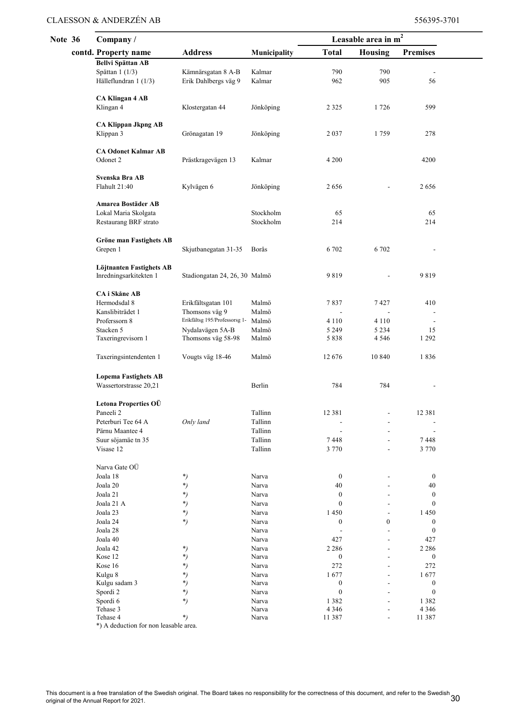| <b>Note 36</b> |  | Company/                                   |                                      |                    | Leasable area in $m2$    |                  |                          |  |
|----------------|--|--------------------------------------------|--------------------------------------|--------------------|--------------------------|------------------|--------------------------|--|
|                |  | contd. Property name                       | <b>Address</b>                       | Municipality       | <b>Total</b>             | <b>Housing</b>   | <b>Premises</b>          |  |
|                |  | <b>Bellvi Spättan AB</b>                   |                                      |                    |                          |                  |                          |  |
|                |  | Spättan $1(1/3)$                           | Kämnärsgatan 8 A-B                   | Kalmar             | 790                      | 790              |                          |  |
|                |  | Hälleflundran 1 (1/3)                      | Erik Dahlbergs väg 9                 | Kalmar             | 962                      | 905              | 56                       |  |
|                |  | <b>CA Klingan 4 AB</b>                     |                                      |                    |                          |                  |                          |  |
|                |  | Klingan 4                                  | Klostergatan 44                      | Jönköping          | 2 3 2 5                  | 1726             | 599                      |  |
|                |  |                                            |                                      |                    |                          |                  |                          |  |
|                |  | <b>CA Klippan Jkpng AB</b>                 |                                      |                    |                          |                  |                          |  |
|                |  | Klippan 3                                  | Grönagatan 19                        | Jönköping          | 2 0 3 7                  | 1759             | 278                      |  |
|                |  | <b>CA Odonet Kalmar AB</b>                 |                                      |                    |                          |                  |                          |  |
|                |  | Odonet 2                                   | Prästkragevägen 13                   | Kalmar             | 4 200                    |                  | 4200                     |  |
|                |  |                                            |                                      |                    |                          |                  |                          |  |
|                |  | Svenska Bra AB<br>Flahult 21:40            |                                      |                    | 2656                     |                  | 2656                     |  |
|                |  |                                            | Kylvägen 6                           | Jönköping          |                          |                  |                          |  |
|                |  | Amarea Bostäder AB                         |                                      |                    |                          |                  |                          |  |
|                |  | Lokal Maria Skolgata                       |                                      | Stockholm          | 65                       |                  | 65                       |  |
|                |  | Restaurang BRF strato                      |                                      | Stockholm          | 214                      |                  | 214                      |  |
|                |  |                                            |                                      |                    |                          |                  |                          |  |
|                |  | <b>Gröne man Fastighets AB</b><br>Grepen 1 | Skjutbanegatan 31-35                 | Borås              | 6 702                    | 6 702            |                          |  |
|                |  |                                            |                                      |                    |                          |                  |                          |  |
|                |  | Löjtnanten Fastighets AB                   |                                      |                    |                          |                  |                          |  |
|                |  | Inredningsarkitekten 1                     | Stadiongatan 24, 26, 30 Malmö        |                    | 9819                     |                  | 9819                     |  |
|                |  |                                            |                                      |                    |                          |                  |                          |  |
|                |  | CA i Skåne AB<br>Hermodsdal 8              |                                      | Malmö              | 7837                     | 7427             | 410                      |  |
|                |  | Kanslibiträdet 1                           | Erikfältsgatan 101<br>Thomsons väg 9 | Malmö              |                          |                  |                          |  |
|                |  | Proferssorn 8                              | Erikfältsg 195/Professorsg 1-        | Malmö              | 4 1 1 0                  | 4 1 1 0          | $\blacksquare$           |  |
|                |  | Stacken 5                                  | Nydalavägen 5A-B                     | Malmö              | 5 2 4 9                  | 5 2 3 4          | 15                       |  |
|                |  | Taxeringrevisorn 1                         | Thomsons väg 58-98                   | Malmö              | 5 8 3 8                  | 4 5 4 6          | 1 2 9 2                  |  |
|                |  |                                            |                                      |                    |                          |                  |                          |  |
|                |  | Taxeringsintendenten 1                     | Vougts väg 18-46                     | Malmö              | 12676                    | 10 840           | 1836                     |  |
|                |  | <b>Lopema Fastighets AB</b>                |                                      |                    |                          |                  |                          |  |
|                |  | Wassertorstrasse 20,21                     |                                      | Berlin             | 784                      | 784              |                          |  |
|                |  |                                            |                                      |                    |                          |                  |                          |  |
|                |  | Letona Properties OÜ                       |                                      |                    |                          |                  |                          |  |
|                |  | Paneeli 2                                  |                                      | Tallinn            | 12 381                   |                  | 12 381                   |  |
|                |  | Peterburi Tee 64 A                         | Only land                            | Tallinn            |                          |                  |                          |  |
|                |  | Pärnu Maantee 4                            |                                      | Tallinn            |                          |                  |                          |  |
|                |  | Suur söjamäe tn 35<br>Visase 12            |                                      | Tallinn<br>Tallinn | 7448<br>3 7 7 0          |                  | 7448<br>3 7 7 0          |  |
|                |  |                                            |                                      |                    |                          |                  |                          |  |
|                |  | Narva Gate OÜ                              |                                      |                    |                          |                  |                          |  |
|                |  | Joala 18                                   | *)                                   | Narva              | $\boldsymbol{0}$         |                  | $\boldsymbol{0}$         |  |
|                |  | Joala 20                                   | *)                                   | Narva              | 40                       |                  | 40                       |  |
|                |  | Joala 21                                   | *)                                   | Narva              | 0                        |                  | $\boldsymbol{0}$         |  |
|                |  | Joala 21 A<br>Joala 23                     | *)<br>*)                             | Narva<br>Narva     | 0<br>1450                |                  | $\boldsymbol{0}$<br>1450 |  |
|                |  | Joala 24                                   | $^{*}$                               | Narva              | 0                        | $\boldsymbol{0}$ | $\boldsymbol{0}$         |  |
|                |  | Joala 28                                   |                                      | Narva              |                          |                  | $\boldsymbol{0}$         |  |
|                |  | Joala 40                                   |                                      | Narva              | 427                      |                  | 427                      |  |
|                |  | Joala 42                                   | *)                                   | Narva              | 2 2 8 6                  |                  | 2 2 8 6                  |  |
|                |  | Kose 12                                    | *)                                   | Narva              | 0                        |                  | $\boldsymbol{0}$         |  |
|                |  | Kose 16                                    | *)                                   | Narva              | 272                      |                  | 272                      |  |
|                |  | Kulgu 8<br>Kulgu sadam 3                   | *)<br>*)                             | Narva<br>Narva     | 1677<br>$\boldsymbol{0}$ |                  | 1677<br>$\boldsymbol{0}$ |  |
|                |  | Spordi 2                                   | *)                                   | Narva              | $\boldsymbol{0}$         |                  | $\boldsymbol{0}$         |  |
|                |  | Spordi 6                                   | *)                                   | Narva              | 1382                     |                  | 1 3 8 2                  |  |
|                |  | Tehase 3                                   | *)                                   | Narva              | 4 3 4 6                  |                  | 4 3 4 6                  |  |
|                |  | Tehase 4                                   |                                      | Narva              | 11 387                   |                  | 11 387                   |  |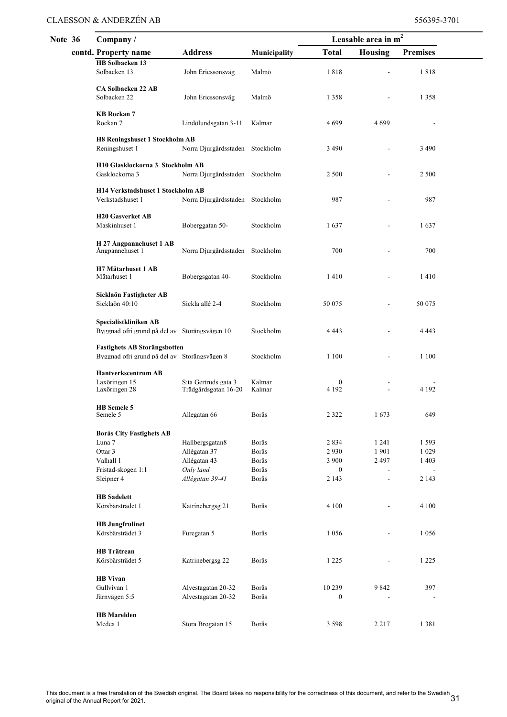| Note 36 |  | Company/                                                                            |                                              |                         | Leasable area in m <sup>2</sup>        |                     |                                      |  |
|---------|--|-------------------------------------------------------------------------------------|----------------------------------------------|-------------------------|----------------------------------------|---------------------|--------------------------------------|--|
|         |  | contd. Property name                                                                | <b>Address</b>                               | Municipality            | <b>Total</b>                           | Housing             | <b>Premises</b>                      |  |
|         |  | HB Solbacken 13<br>Solbacken 13                                                     | John Ericssonsväg                            | Malmö                   | 1818                                   |                     | 1818                                 |  |
|         |  | <b>CA Solbacken 22 AB</b><br>Solbacken 22                                           | John Ericssonsväg                            | Malmö                   | 1 3 5 8                                |                     | 1 3 5 8                              |  |
|         |  | <b>KB</b> Rockan 7<br>Rockan 7                                                      | Lindölundsgatan 3-11                         | Kalmar                  | 4699                                   | 4699                |                                      |  |
|         |  | <b>H8 Reningshuset 1 Stockholm AB</b><br>Reningshuset 1                             | Norra Djurgårdsstaden Stockholm              |                         | 3 4 9 0                                |                     | 3 4 9 0                              |  |
|         |  | H10 Glasklockorna 3 Stockholm AB<br>Gasklockorna 3                                  | Norra Djurgårdsstaden Stockholm              |                         | 2 5 0 0                                |                     | 2 5 0 0                              |  |
|         |  | H14 Verkstadshuset 1 Stockholm AB<br>Verkstadshuset 1                               | Norra Djurgårdsstaden Stockholm              |                         | 987                                    |                     | 987                                  |  |
|         |  | H <sub>20</sub> Gasverket AB<br>Maskinhuset 1                                       | Boberggatan 50-                              | Stockholm               | 1637                                   |                     | 1637                                 |  |
|         |  | H 27 Ångpannehuset 1 AB<br>Ångpannehuset 1                                          | Norra Djurgårdsstaden Stockholm              |                         | 700                                    |                     | 700                                  |  |
|         |  | <b>H7 Mätarhuset 1 AB</b><br>Mätarhuset 1                                           | Bobergsgatan 40-                             | Stockholm               | 1410                                   |                     | 1410                                 |  |
|         |  | Sicklaön Fastigheter AB<br>Sicklaön 40:10                                           | Sickla allé 2-4                              | Stockholm               | 50 075                                 |                     | 50 075                               |  |
|         |  | Specialistkliniken AB<br>Byggnad ofri grund på del av Storängsvägen 10              |                                              | Stockholm               | 4 4 4 3                                |                     | 4 4 4 3                              |  |
|         |  | <b>Fastighets AB Storängsbotten</b><br>Byggnad ofri grund på del av Storängsvägen 8 |                                              | Stockholm               | 1 1 0 0                                |                     | 1 1 0 0                              |  |
|         |  | <b>Hantverkscentrum AB</b><br>Laxöringen 15<br>Laxöringen 28                        | S:ta Gertruds gata 3<br>Trädgårdsgatan 16-20 | Kalmar<br>Kalmar        | $\boldsymbol{0}$<br>4 1 9 2            |                     | 4 1 9 2                              |  |
|         |  | HB Semele 5<br>Semele 5                                                             | Allegatan 66                                 | Borås                   | 2 3 2 2                                | 1673                | 649                                  |  |
|         |  | <b>Borås City Fastighets AB</b><br>Luna 7<br>Ottar 3                                | Hallbergsgatan8<br>Allégatan 37              | Borås<br>Borås          | 2834<br>2930                           | 1 2 4 1<br>1901     | 1593<br>1 0 2 9                      |  |
|         |  | Valhall 1<br>Fristad-skogen 1:1<br>Sleipner 4                                       | Allégatan 43<br>Only land<br>Allégatan 39-41 | Borås<br>Borås<br>Borås | 3 9 0 0<br>$\boldsymbol{0}$<br>2 1 4 3 | 2 4 9 7<br>÷,<br>÷, | 1 4 0 3<br>$\blacksquare$<br>2 1 4 3 |  |
|         |  | <b>HB</b> Sadelett                                                                  |                                              |                         |                                        |                     |                                      |  |
|         |  | Körsbärsträdet 1<br><b>HB</b> Jungfrulinet                                          | Katrinebergsg 21                             | Borås                   | 4 100                                  |                     | 4 1 0 0                              |  |
|         |  | Körsbärsträdet 3<br><b>HB</b> Trätrean                                              | Furegatan 5                                  | Borås                   | 1056                                   |                     | 1 0 5 6                              |  |
|         |  | Körsbärsträdet 5                                                                    | Katrinebergsg 22                             | Borås                   | 1 2 2 5                                |                     | 1 2 2 5                              |  |
|         |  | <b>HB</b> Vivan<br>Gullvivan 1<br>Järnvägen 5:5                                     | Alvestagatan 20-32<br>Alvestagatan 20-32     | Borås<br>Borås          | 10 239<br>$\boldsymbol{0}$             | 9842                | 397                                  |  |
|         |  | <b>HB</b> Marelden<br>Medea 1                                                       | Stora Brogatan 15                            | Borås                   | 3 5 9 8                                | 2 2 1 7             | 1 3 8 1                              |  |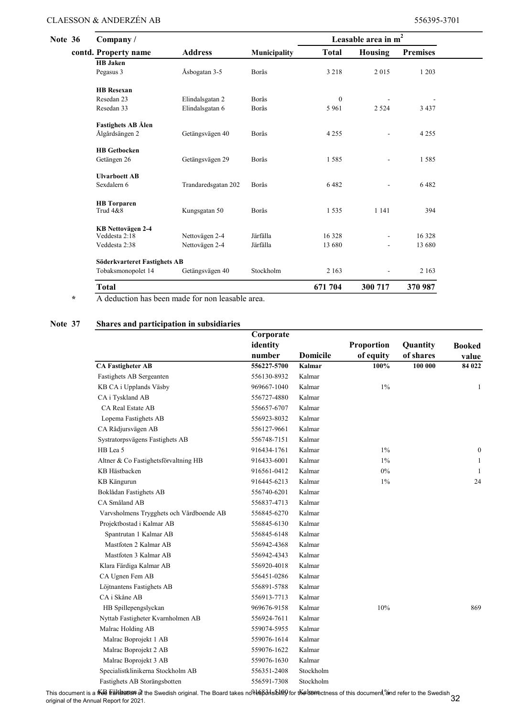| <b>Note 36</b> | Company/                     |                     |              |              | Leasable area in $m2$ |                 |
|----------------|------------------------------|---------------------|--------------|--------------|-----------------------|-----------------|
|                | contd. Property name         | <b>Address</b>      | Municipality | <b>Total</b> | <b>Housing</b>        | <b>Premises</b> |
|                | <b>HB</b> Jaken              |                     |              |              |                       |                 |
|                | Pegasus 3                    | Åsbogatan 3-5       | Borås        | 3 2 1 8      | 2015                  | 1 2 0 3         |
|                | <b>HB</b> Resexan            |                     |              |              |                       |                 |
|                | Resedan 23                   | Elindalsgatan 2     | Borås        | $\mathbf{0}$ |                       |                 |
|                | Resedan 33                   | Elindalsgatan 6     | Borås        | 5 9 6 1      | 2 5 2 4               | 3 4 3 7         |
|                | <b>Fastighets AB Ålen</b>    |                     |              |              |                       |                 |
|                | Ålgårdsängen 2               | Getängsvägen 40     | Borås        | 4 2 5 5      | L.                    | 4 2 5 5         |
|                | <b>HB</b> Getbocken          |                     |              |              |                       |                 |
|                | Getängen 26                  | Getängsvägen 29     | Borås        | 1585         | ÷,                    | 1585            |
|                | <b>Ulvarboett AB</b>         |                     |              |              |                       |                 |
|                | Sexdalern 6                  | Trandaredsgatan 202 | Borås        | 6482         | ÷,                    | 6482            |
|                | <b>HB</b> Torparen           |                     |              |              |                       |                 |
|                | Trud 4&8                     | Kungsgatan 50       | Borås        | 1535         | 1 1 4 1               | 394             |
|                | KB Nettovägen 2-4            |                     |              |              |                       |                 |
|                | Veddesta 2:18                | Nettovägen 2-4      | Järfälla     | 16 3 28      | ۰                     | 16 328          |
|                | Veddesta 2:38                | Nettovägen 2-4      | Järfälla     | 13 680       | ٠                     | 13 680          |
|                | Söderkvarteret Fastighets AB |                     |              |              |                       |                 |
|                | Tobaksmonopolet 14           | Getängsvägen 40     | Stockholm    | 2 1 6 3      | ÷,                    | 2 1 6 3         |
|                | <b>Total</b>                 |                     |              | 671 704      | 300 717               | 370 987         |

\* A deduction has been made for non leasable area.

#### Note 37 Shares and participation in subsidiaries

|                                          | Corporate   |                 |                   |           |               |
|------------------------------------------|-------------|-----------------|-------------------|-----------|---------------|
|                                          | identity    |                 | <b>Proportion</b> | Quantity  | <b>Booked</b> |
|                                          | number      | <b>Domicile</b> | of equity         | of shares | value         |
| <b>CA Fastigheter AB</b>                 | 556227-5700 | Kalmar          | 100%              | 100 000   | 84 022        |
| Fastighets AB Sergeanten                 | 556130-8932 | Kalmar          |                   |           |               |
| KB CA i Upplands Väsby                   | 969667-1040 | Kalmar          | $1\%$             |           | 1             |
| CA i Tyskland AB                         | 556727-4880 | Kalmar          |                   |           |               |
| <b>CA Real Estate AB</b>                 | 556657-6707 | Kalmar          |                   |           |               |
| Lopema Fastighets AB                     | 556923-8032 | Kalmar          |                   |           |               |
| CA Rådjursvägen AB                       | 556127-9661 | Kalmar          |                   |           |               |
| Systratorpsvägens Fastighets AB          | 556748-7151 | Kalmar          |                   |           |               |
| HB Lea 5                                 | 916434-1761 | Kalmar          | $1\%$             |           | $\mathbf{0}$  |
| Altner & Co Fastighetsförvaltning HB     | 916433-6001 | Kalmar          | $1\%$             |           | 1             |
| KB Hästbacken                            | 916561-0412 | Kalmar          | 0%                |           | -1            |
| KB Kängurun                              | 916445-6213 | Kalmar          | $1\%$             |           | 24            |
| Boklådan Fastighets AB                   | 556740-6201 | Kalmar          |                   |           |               |
| CA Småland AB                            | 556837-4713 | Kalmar          |                   |           |               |
| Varvsholmens Trygghets och Vårdboende AB | 556845-6270 | Kalmar          |                   |           |               |
| Projektbostad i Kalmar AB                | 556845-6130 | Kalmar          |                   |           |               |
| Spantrutan 1 Kalmar AB                   | 556845-6148 | Kalmar          |                   |           |               |
| Mastfoten 2 Kalmar AB                    | 556942-4368 | Kalmar          |                   |           |               |
| Mastfoten 3 Kalmar AB                    | 556942-4343 | Kalmar          |                   |           |               |
| Klara Färdiga Kalmar AB                  | 556920-4018 | Kalmar          |                   |           |               |
| CA Ugnen Fem AB                          | 556451-0286 | Kalmar          |                   |           |               |
| Löjtnantens Fastighets AB                | 556891-5788 | Kalmar          |                   |           |               |
| CA i Skåne AB                            | 556913-7713 | Kalmar          |                   |           |               |
| HB Spillepengslyckan                     | 969676-9158 | Kalmar          | 10%               |           | 869           |
| Nyttab Fastigheter Kvarnholmen AB        | 556924-7611 | Kalmar          |                   |           |               |
| Malrac Holding AB                        | 559074-5955 | Kalmar          |                   |           |               |
| Malrac Boprojekt 1 AB                    | 559076-1614 | Kalmar          |                   |           |               |
| Malrac Boprojekt 2 AB                    | 559076-1622 | Kalmar          |                   |           |               |
| Malrac Boprojekt 3 AB                    | 559076-1630 | Kalmar          |                   |           |               |
| Specialistklinikerna Stockholm AB        | 556351-2408 | Stockholm       |                   |           |               |
| Fastighets AB Storängsbotten             | 556591-7308 | Stockholm       |                   |           |               |

This document is a **f∕ee frählstatisn** of the Swedish original. The Board takes no**ીesβonsblitt()** for t**Kaboae**ctness of this document,%nd refer to the Swedish<br>original of the Annual Report for 2021.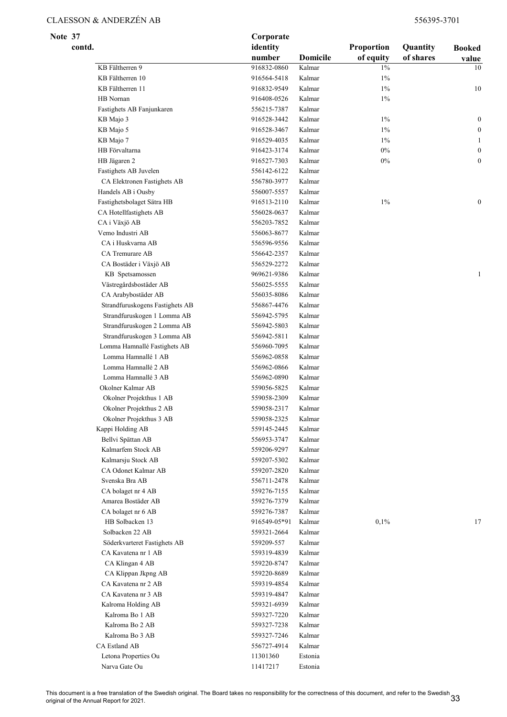Note 37 Corporate

| contd.                          | identity     |                 | Proportion | Quantity  | <b>Booked</b>    |
|---------------------------------|--------------|-----------------|------------|-----------|------------------|
|                                 | number       | <b>Domicile</b> | of equity  | of shares | value            |
| KB Fältherren 9                 | 916832-0860  | Kalmar          | $1\%$      |           | 10               |
| KB Fältherren 10                | 916564-5418  | Kalmar          | 1%         |           |                  |
| KB Fältherren 11                | 916832-9549  | Kalmar          | $1\%$      |           | 10               |
| HB Nornan                       | 916408-0526  | Kalmar          | $1\%$      |           |                  |
| Fastighets AB Fanjunkaren       | 556215-7387  | Kalmar          |            |           |                  |
| KB Majo 3                       | 916528-3442  | Kalmar          | $1\%$      |           | $\boldsymbol{0}$ |
| KB Majo 5                       | 916528-3467  | Kalmar          | $1\%$      |           | $\boldsymbol{0}$ |
| KB Majo 7                       | 916529-4035  | Kalmar          | $1\%$      |           | 1                |
| HB Förvaltarna                  | 916423-3174  | Kalmar          | $0\%$      |           | $\boldsymbol{0}$ |
| HB Jägaren 2                    | 916527-7303  | Kalmar          | $0\%$      |           | $\mathbf{0}$     |
| Fastighets AB Juvelen           | 556142-6122  | Kalmar          |            |           |                  |
| CA Elektronen Fastighets AB     | 556780-3977  | Kalmar          |            |           |                  |
| Handels AB i Ousby              | 556007-5557  | Kalmar          |            |           |                  |
| Fastighetsbolaget Sätra HB      | 916513-2110  | Kalmar          | $1\%$      |           | $\boldsymbol{0}$ |
| CA Hotellfastighets AB          | 556028-0637  | Kalmar          |            |           |                  |
| CA i Växjö AB                   | 556203-7852  | Kalmar          |            |           |                  |
| Vemo Industri AB                | 556063-8677  | Kalmar          |            |           |                  |
| CA i Huskvarna AB               | 556596-9556  | Kalmar          |            |           |                  |
| CA Tremurare AB                 | 556642-2357  | Kalmar          |            |           |                  |
| CA Bostäder i Växjö AB          | 556529-2272  | Kalmar          |            |           |                  |
| KB Spetsamossen                 | 969621-9386  | Kalmar          |            |           | $\mathbf{1}$     |
| Västregårdsbostäder AB          | 556025-5555  | Kalmar          |            |           |                  |
| CA Arabybostäder AB             | 556035-8086  | Kalmar          |            |           |                  |
| Strandfuruskogens Fastighets AB | 556867-4476  | Kalmar          |            |           |                  |
| Strandfuruskogen 1 Lomma AB     | 556942-5795  | Kalmar          |            |           |                  |
| Strandfuruskogen 2 Lomma AB     | 556942-5803  | Kalmar          |            |           |                  |
| Strandfuruskogen 3 Lomma AB     | 556942-5811  | Kalmar          |            |           |                  |
| Lomma Hamnallé Fastighets AB    | 556960-7095  | Kalmar          |            |           |                  |
| Lomma Hamnallé 1 AB             | 556962-0858  | Kalmar          |            |           |                  |
| Lomma Hamnallé 2 AB             | 556962-0866  | Kalmar          |            |           |                  |
| Lomma Hamnallé 3 AB             | 556962-0890  | Kalmar          |            |           |                  |
| Okolner Kalmar AB               | 559056-5825  | Kalmar          |            |           |                  |
| Okolner Projekthus 1 AB         |              | Kalmar          |            |           |                  |
|                                 | 559058-2309  | Kalmar          |            |           |                  |
| Okolner Projekthus 2 AB         | 559058-2317  |                 |            |           |                  |
| Okolner Projekthus 3 AB         | 559058-2325  | Kalmar          |            |           |                  |
| Kappi Holding AB                | 559145-2445  | Kalmar          |            |           |                  |
| Bellvi Spättan AB               | 556953-3747  | Kalmar          |            |           |                  |
| Kalmarfem Stock AB              | 559206-9297  | Kalmar          |            |           |                  |
| Kalmarsju Stock AB              | 559207-5302  | Kalmar          |            |           |                  |
| CA Odonet Kalmar AB             | 559207-2820  | Kalmar          |            |           |                  |
| Svenska Bra AB                  | 556711-2478  | Kalmar          |            |           |                  |
| CA bolaget nr 4 AB              | 559276-7155  | Kalmar          |            |           |                  |
| Amarea Bostäder AB              | 559276-7379  | Kalmar          |            |           |                  |
| CA bolaget nr 6 AB              | 559276-7387  | Kalmar          |            |           |                  |
| HB Solbacken 13                 | 916549-05*91 | Kalmar          | 0,1%       |           | 17               |
| Solbacken 22 AB                 | 559321-2664  | Kalmar          |            |           |                  |
| Söderkvarteret Fastighets AB    | 559209-557   | Kalmar          |            |           |                  |
| CA Kavatena nr 1 AB             | 559319-4839  | Kalmar          |            |           |                  |
| CA Klingan 4 AB                 | 559220-8747  | Kalmar          |            |           |                  |
| CA Klippan Jkpng AB             | 559220-8689  | Kalmar          |            |           |                  |
| CA Kavatena nr 2 AB             | 559319-4854  | Kalmar          |            |           |                  |
| CA Kavatena nr 3 AB             | 559319-4847  | Kalmar          |            |           |                  |
| Kalroma Holding AB              | 559321-6939  | Kalmar          |            |           |                  |
| Kalroma Bo 1 AB                 | 559327-7220  | Kalmar          |            |           |                  |
| Kalroma Bo 2 AB                 | 559327-7238  | Kalmar          |            |           |                  |
| Kalroma Bo 3 AB                 | 559327-7246  | Kalmar          |            |           |                  |
| CA Estland AB                   | 556727-4914  | Kalmar          |            |           |                  |
| Letona Properties Ou            | 11301360     | Estonia         |            |           |                  |
| Narva Gate Ou                   | 11417217     | Estonia         |            |           |                  |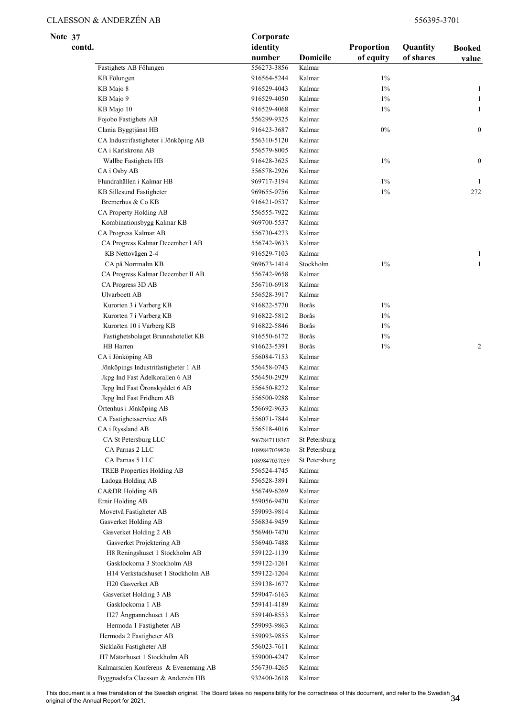| Note 37 |        |                                       | Corporate          |                 |                         |                       |                        |
|---------|--------|---------------------------------------|--------------------|-----------------|-------------------------|-----------------------|------------------------|
|         | contd. |                                       | identity<br>number | <b>Domicile</b> | Proportion<br>of equity | Quantity<br>of shares | <b>Booked</b><br>value |
|         |        | Fastighets AB Fölungen                | 556273-3856        | Kalmar          |                         |                       |                        |
|         |        | KB Fölungen                           | 916564-5244        | Kalmar          | 1%                      |                       |                        |
|         |        | KB Majo 8                             | 916529-4043        | Kalmar          | $1\%$                   |                       | 1                      |
|         |        | KB Majo 9                             | 916529-4050        | Kalmar          | $1\%$                   |                       | 1                      |
|         |        | KB Majo 10                            | 916529-4068        | Kalmar          | 1%                      |                       | 1                      |
|         |        | Fojobo Fastighets AB                  | 556299-9325        | Kalmar          |                         |                       |                        |
|         |        | Clania Byggtjänst HB                  | 916423-3687        | Kalmar          | 0%                      |                       | $\boldsymbol{0}$       |
|         |        | CA Industrifastigheter i Jönköping AB | 556310-5120        | Kalmar          |                         |                       |                        |
|         |        | CA i Karlskrona AB                    | 556579-8005        | Kalmar          |                         |                       |                        |
|         |        | Wallbe Fastighets HB                  | 916428-3625        | Kalmar          | $1\%$                   |                       | $\boldsymbol{0}$       |
|         |        | CA i Osby AB                          | 556578-2926        | Kalmar          |                         |                       |                        |
|         |        | Flundrahällen i Kalmar HB             | 969717-3194        | Kalmar          | $1\%$                   |                       | 1                      |
|         |        | KB Sillesund Fastigheter              | 969655-0756        | Kalmar          | $1\%$                   |                       | 272                    |
|         |        | Bremerhus & Co KB                     | 916421-0537        | Kalmar          |                         |                       |                        |
|         |        | CA Property Holding AB                | 556555-7922        | Kalmar          |                         |                       |                        |
|         |        | Kombinationsbygg Kalmar KB            | 969700-5537        | Kalmar          |                         |                       |                        |
|         |        | CA Progress Kalmar AB                 | 556730-4273        | Kalmar          |                         |                       |                        |
|         |        | CA Progress Kalmar December I AB      | 556742-9633        | Kalmar          |                         |                       |                        |
|         |        | KB Nettovägen 2-4                     | 916529-7103        | Kalmar          |                         |                       | 1                      |
|         |        | CA på Norrmalm KB                     | 969673-1414        | Stockholm       | 1%                      |                       | $\mathbf{1}$           |
|         |        | CA Progress Kalmar December II AB     | 556742-9658        | Kalmar          |                         |                       |                        |
|         |        | CA Progress 3D AB                     | 556710-6918        | Kalmar          |                         |                       |                        |
|         |        | Ulvarboett AB                         | 556528-3917        | Kalmar          |                         |                       |                        |
|         |        | Kurorten 3 i Varberg KB               | 916822-5770        | Borås           | $1\%$                   |                       |                        |
|         |        | Kurorten 7 i Varberg KB               | 916822-5812        | Borås           | $1\%$                   |                       |                        |
|         |        | Kurorten 10 i Varberg KB              | 916822-5846        | Borås           | $1\%$                   |                       |                        |
|         |        | Fastighetsbolaget Brunnshotellet KB   | 916550-6172        | Borås           | 1%                      |                       |                        |
|         |        | HB Harren                             | 916623-5391        | Borås           | 1%                      |                       | 2                      |
|         |        | CA i Jönköping AB                     | 556084-7153        | Kalmar          |                         |                       |                        |
|         |        | Jönköpings Industrifastigheter 1 AB   | 556458-0743        | Kalmar          |                         |                       |                        |
|         |        | Jkpg Ind Fast Ädelkorallen 6 AB       | 556450-2929        | Kalmar          |                         |                       |                        |
|         |        | Jkpg Ind Fast Öronskyddet 6 AB        | 556450-8272        | Kalmar          |                         |                       |                        |
|         |        | Jkpg Ind Fast Fridhem AB              | 556500-9288        | Kalmar          |                         |                       |                        |
|         |        | Örtenhus i Jönköping AB               | 556692-9633        | Kalmar          |                         |                       |                        |
|         |        | CA Fastighetsservice AB               | 556071-7844        | Kalmar          |                         |                       |                        |
|         |        | CA i Ryssland AB                      | 556518-4016        | Kalmar          |                         |                       |                        |
|         |        | CA St Petersburg LLC                  | 5067847118367      | St Petersburg   |                         |                       |                        |
|         |        | CA Parnas 2 LLC                       | 1089847039820      | St Petersburg   |                         |                       |                        |
|         |        | CA Parnas 5 LLC                       | 1089847037059      | St Petersburg   |                         |                       |                        |
|         |        | TREB Properties Holding AB            | 556524-4745        | Kalmar          |                         |                       |                        |
|         |        | Ladoga Holding AB                     | 556528-3891        | Kalmar          |                         |                       |                        |
|         |        | CA&DR Holding AB                      | 556749-6269        | Kalmar          |                         |                       |                        |
|         |        | Ernir Holding AB                      | 559056-9470        | Kalmar          |                         |                       |                        |
|         |        | Movetvå Fastigheter AB                | 559093-9814        | Kalmar          |                         |                       |                        |
|         |        | Gasverket Holding AB                  | 556834-9459        | Kalmar          |                         |                       |                        |
|         |        | Gasverket Holding 2 AB                | 556940-7470        | Kalmar          |                         |                       |                        |
|         |        | Gasverket Projektering AB             | 556940-7488        | Kalmar          |                         |                       |                        |
|         |        | H8 Reningshuset 1 Stockholm AB        | 559122-1139        | Kalmar          |                         |                       |                        |
|         |        | Gasklockorna 3 Stockholm AB           | 559122-1261        | Kalmar          |                         |                       |                        |
|         |        | H14 Verkstadshuset 1 Stockholm AB     | 559122-1204        | Kalmar          |                         |                       |                        |
|         |        | H20 Gasverket AB                      | 559138-1677        | Kalmar          |                         |                       |                        |
|         |        | Gasverket Holding 3 AB                | 559047-6163        | Kalmar          |                         |                       |                        |
|         |        | Gasklockorna 1 AB                     | 559141-4189        | Kalmar          |                         |                       |                        |
|         |        | H27 Ångpannehuset 1 AB                | 559140-8553        | Kalmar          |                         |                       |                        |
|         |        |                                       |                    |                 |                         |                       |                        |
|         |        | Hermoda 1 Fastigheter AB              | 559093-9863        | Kalmar          |                         |                       |                        |
|         |        | Hermoda 2 Fastigheter AB              | 559093-9855        | Kalmar          |                         |                       |                        |
|         |        | Sicklaön Fastigheter AB               | 556023-7611        | Kalmar          |                         |                       |                        |
|         |        | H7 Mätarhuset 1 Stockholm AB          | 559000-4247        | Kalmar          |                         |                       |                        |
|         |        | Kalmarsalen Konferens & Evenemang AB  | 556730-4265        | Kalmar          |                         |                       |                        |
|         |        | Byggnadsf:a Claesson & Anderzén HB    | 932400-2618        | Kalmar          |                         |                       |                        |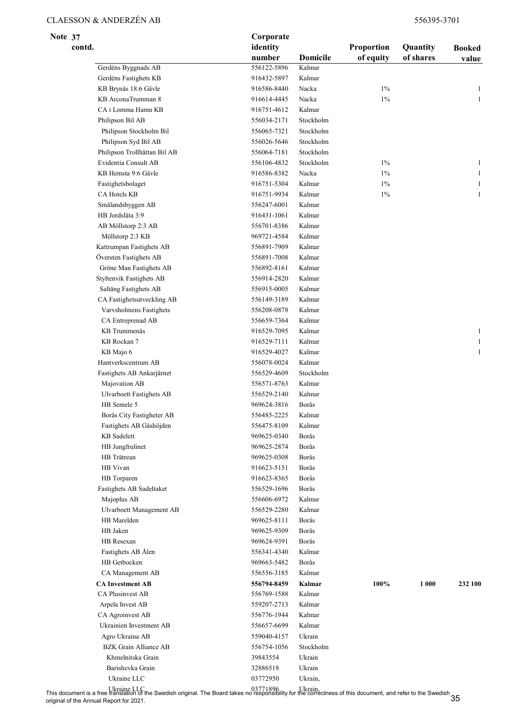| Note 37 |        |                                               | Corporate                  |                  |                         |                       |                        |  |
|---------|--------|-----------------------------------------------|----------------------------|------------------|-------------------------|-----------------------|------------------------|--|
|         | contd. |                                               | identity<br>number         | <b>Domicile</b>  | Proportion<br>of equity | Quantity<br>of shares | <b>Booked</b><br>value |  |
|         |        | Gerdéns Byggnads AB                           | 556122-5896                | Kalmar           |                         |                       |                        |  |
|         |        | Gerdéns Fastighets KB                         | 916432-5897                | Kalmar           |                         |                       |                        |  |
|         |        | KB Brynäs 18:6 Gävle                          | 916586-8440                | Nacka            | $1\%$                   |                       | 1                      |  |
|         |        | KB ArconaTrumman 8                            | 916614-4445                | Nacka            | $1\%$                   |                       | $\mathbf{1}$           |  |
|         |        | CA i Lomma Hamn KB                            | 916751-4612                | Kalmar           |                         |                       |                        |  |
|         |        | Philipson Bil AB                              | 556034-2171                | Stockholm        |                         |                       |                        |  |
|         |        | Philipson Stockholm Bil                       | 556065-7321                | Stockholm        |                         |                       |                        |  |
|         |        | Philipson Syd Bil AB                          | 556026-5646                | Stockholm        |                         |                       |                        |  |
|         |        | Philipson Trollhättan Bil AB                  | 556064-7181                | Stockholm        |                         |                       |                        |  |
|         |        | Evidentia Consult AB                          | 556106-4832                | Stockholm        | $1\%$                   |                       | $\mathbf{1}$           |  |
|         |        | KB Hemsta 9:6 Gävle                           | 916586-8382                | Nacka            | $1\%$                   |                       | $\mathbf{1}$           |  |
|         |        | Fastighetsbolaget                             | 916751-5304                | Kalmar           | $1\%$                   |                       | 1                      |  |
|         |        | CA Hotels KB                                  | 916751-9934                | Kalmar           | 1%                      |                       | $\mathbf{1}$           |  |
|         |        | Smålandsbyggen AB                             | 556247-6001                | Kalmar           |                         |                       |                        |  |
|         |        | HB Jordsläta 3:9                              | 916431-1061                | Kalmar           |                         |                       |                        |  |
|         |        | AB Möllstorp 2:3 AB                           | 556701-8386                | Kalmar           |                         |                       |                        |  |
|         |        | Möllstorp 2:3 KB                              | 969721-4584                | Kalmar           |                         |                       |                        |  |
|         |        | Kattrumpan Fastighets AB                      | 556891-7909                | Kalmar           |                         |                       |                        |  |
|         |        | Översten Fastighets AB                        | 556891-7008                | Kalmar           |                         |                       |                        |  |
|         |        | Gröne Man Fastighets AB                       | 556892-8161                | Kalmar           |                         |                       |                        |  |
|         |        | <b>Styltenvik Fastighets AB</b>               | 556914-2820                | Kalmar           |                         |                       |                        |  |
|         |        | Saltäng Fastighets AB                         | 556915-0005                | Kalmar           |                         |                       |                        |  |
|         |        | CA Fastighetsutveckling AB                    | 556149-3189                | Kalmar           |                         |                       |                        |  |
|         |        | Varvsholmens Fastighets                       | 556208-0878                | Kalmar           |                         |                       |                        |  |
|         |        | CA Entreprenad AB                             | 556659-7364                | Kalmar           |                         |                       |                        |  |
|         |        | KB Trummenäs                                  | 916529-7095                | Kalmar           |                         |                       | $\mathbf{1}$           |  |
|         |        | KB Rockan 7                                   | 916529-7111                | Kalmar           |                         |                       | $\mathbf{1}$           |  |
|         |        | KB Majo 6                                     | 916529-4027                | Kalmar           |                         |                       | $\mathbf{1}$           |  |
|         |        | Hantverkscentrum AB                           | 556078-0024                | Kalmar           |                         |                       |                        |  |
|         |        | Fastighets AB Ankarjärnet                     | 556529-4609                | Stockholm        |                         |                       |                        |  |
|         |        | Majovation AB                                 | 556571-8763                | Kalmar           |                         |                       |                        |  |
|         |        | <b>Ulvarboett Fastighets AB</b>               | 556529-2140                | Kalmar           |                         |                       |                        |  |
|         |        | HB Semele 5                                   | 969624-3816                | Borås            |                         |                       |                        |  |
|         |        | Borås City Fastigheter AB                     | 556485-2225<br>556475-8109 | Kalmar<br>Kalmar |                         |                       |                        |  |
|         |        | Fastighets AB Gåshöjden<br><b>KB</b> Sadelett | 969625-0340                | Borås            |                         |                       |                        |  |
|         |        | HB Jungfrulinet                               | 969625-2874                | Borås            |                         |                       |                        |  |
|         |        | HB Trätrean                                   | 969625-0308                | Borås            |                         |                       |                        |  |
|         |        | HB Vivan                                      | 916623-5151                | Borås            |                         |                       |                        |  |
|         |        | HB Torparen                                   | 916623-8365                | Borås            |                         |                       |                        |  |
|         |        | Fastighets AB Sadeltaket                      | 556529-1696                | Borås            |                         |                       |                        |  |
|         |        | Majoplus AB                                   | 556606-6972                | Kalmar           |                         |                       |                        |  |
|         |        | Ulvarboett Management AB                      | 556529-2280                | Kalmar           |                         |                       |                        |  |
|         |        | HB Marelden                                   | 969625-8111                | Borås            |                         |                       |                        |  |
|         |        | HB Jaken                                      | 969625-9309                | Borås            |                         |                       |                        |  |
|         |        | HB Resexan                                    | 969624-9391                | Borås            |                         |                       |                        |  |
|         |        | Fastighets AB Ålen                            | 556341-4340                | Kalmar           |                         |                       |                        |  |
|         |        | HB Getbocken                                  | 969663-5482                | Borås            |                         |                       |                        |  |
|         |        | CA Management AB                              | 556556-3185                | Kalmar           |                         |                       |                        |  |
|         |        | <b>CA Investment AB</b>                       | 556794-8459                | Kalmar           | 100%                    | 1 0 0 0               | 232 100                |  |
|         |        | CA Plusinvest AB                              | 556769-1588                | Kalmar           |                         |                       |                        |  |
|         |        | Arpela Invest AB                              | 559207-2713                | Kalmar           |                         |                       |                        |  |
|         |        | CA Agroinvest AB                              | 556776-1944                | Kalmar           |                         |                       |                        |  |
|         |        | Ukrainien Investment AB                       | 556657-6699                | Kalmar           |                         |                       |                        |  |
|         |        | Agro Ukraina AB                               | 559040-4157                | Ukrain           |                         |                       |                        |  |
|         |        | <b>BZK</b> Grain Alliance AB                  | 556754-1056                | Stockholm        |                         |                       |                        |  |
|         |        | Khmelnitska Grain                             | 39843554                   | Ukrain           |                         |                       |                        |  |
|         |        | Barishevka Grain                              | 32886518                   | Ukrain           |                         |                       |                        |  |
|         |        | Ukraine LLC                                   | 03772950                   | Ukrain,          |                         |                       |                        |  |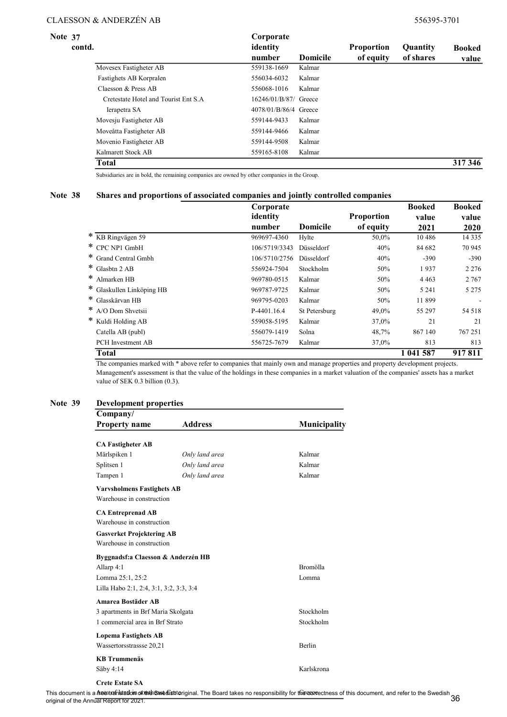| Note 37 | contd. |                                                                          | Corporate<br>identity                               |                                     |           | Quantity  | <b>Booked</b> |
|---------|--------|--------------------------------------------------------------------------|-----------------------------------------------------|-------------------------------------|-----------|-----------|---------------|
|         |        | Movesex Fastigheter AB<br>Fastighets AB Korpralen<br>Claesson & Press AB | number<br>559138-1669<br>556034-6032<br>556068-1016 | <b>Domicile</b><br>Kalmar<br>Kalmar | of equity | of shares | value         |
|         |        |                                                                          |                                                     |                                     |           |           |               |
|         |        |                                                                          |                                                     |                                     |           |           |               |
|         |        |                                                                          |                                                     | Kalmar                              |           |           |               |
|         |        | Cretestate Hotel and Tourist Ent S.A.                                    | 16246/01/B/87/ Greece                               |                                     |           |           |               |
|         |        | Ierapetra SA                                                             | 4078/01/B/86/4 Greece                               |                                     |           |           |               |
|         |        | Movesju Fastigheter AB                                                   | 559144-9433                                         | Kalmar                              |           |           |               |
|         |        | Moveåtta Fastigheter AB                                                  | 559144-9466                                         | Kalmar                              |           |           |               |
|         |        | Movenio Fastigheter AB                                                   | 559144-9508                                         | Kalmar                              |           |           |               |
|         |        | Kalmarett Stock AB                                                       | 559165-8108                                         | Kalmar                              |           |           |               |
|         |        | Total                                                                    |                                                     |                                     |           |           | 317 346       |

Subsidiaries are in bold, the remaining companies are owned by other companies in the Group.

#### Note 38 Shares and proportions of associated companies and jointly controlled companies

|                          | Corporate     |                   |                   | <b>Booked</b> | <b>Booked</b> |
|--------------------------|---------------|-------------------|-------------------|---------------|---------------|
|                          | identity      |                   | <b>Proportion</b> | value         | value         |
|                          | number        | <b>Domicile</b>   | of equity         | 2021          | 2020          |
| * KB Ringvägen 59        | 969697-4360   | Hylte             | 50,0%             | 10486         | 14 3 3 5      |
| $*$ CPC NP1 GmbH         | 106/5719/3343 | <b>Düsseldorf</b> | 40%               | 84 682        | 70 945        |
| * Grand Central Gmbh     | 106/5710/2756 | <b>Düsseldorf</b> | 40%               | $-390$        | $-390$        |
| * Glasbtn 2 AB           | 556924-7504   | Stockholm         | 50%               | 1937          | 2 2 7 6       |
| $\ast$<br>Almarken HB    | 969780-0515   | Kalmar            | 50%               | 4 4 6 3       | 2 7 6 7       |
| Glaskullen Linköping HB  | 969787-9725   | Kalmar            | 50%               | 5 2 4 1       | 5 2 7 5       |
| $\ast$<br>Glasskärvan HB | 969795-0203   | Kalmar            | 50%               | 11899         |               |
| ∗<br>A/O Dom Shvetsii    | P-4401.16.4   | St Petersburg     | 49.0%             | 55 297        | 54 518        |
| ∗<br>Kuldi Holding AB    | 559058-5195   | Kalmar            | 37,0%             | 21            | 21            |
| Catella AB (publ)        | 556079-1419   | Solna             | 48,7%             | 867 140       | 767251        |
| PCH Investment AB        | 556725-7679   | Kalmar            | 37,0%             | 813           | 813           |
| <b>Total</b>             |               |                   |                   | 1 041 587     | 917811        |

The companies marked with \* above refer to companies that mainly own and manage properties and property development projects. Management's assessment is that the value of the holdings in these companies in a market valuation of the companies' assets has a market value of SEK 0.3 billion (0.3).

#### Note 39 Development properties

| Company/                                |                |               |
|-----------------------------------------|----------------|---------------|
| <b>Property name</b>                    | <b>Address</b> | Municipality  |
| <b>CA Fastigheter AB</b>                |                |               |
| Märlspiken 1                            | Only land area | Kalmar        |
| Splitsen 1                              | Only land area | Kalmar        |
| Tampen 1                                | Only land area | Kalmar        |
| <b>Varvsholmens Fastighets AB</b>       |                |               |
| Warehouse in construction               |                |               |
| <b>CA Entreprenad AB</b>                |                |               |
| Warehouse in construction               |                |               |
| <b>Gasverket Projektering AB</b>        |                |               |
| Warehouse in construction               |                |               |
| Byggnadsf:a Claesson & Anderzén HB      |                |               |
| Allarp 4:1                              |                | Bromölla      |
| Lomma 25:1, 25:2                        |                | Lomma         |
| Lilla Habo 2:1, 2:4, 3:1, 3:2, 3:3, 3:4 |                |               |
| Amarea Bostäder AB                      |                |               |
| 3 apartments in Brf Maria Skolgata      |                | Stockholm     |
| 1 commercial area in Brf Strato         |                | Stockholm     |
| <b>Lopema Fastighets AB</b>             |                |               |
| Wassertorsstrassse 20,21                |                | <b>Berlin</b> |
| <b>KB</b> Trummenäs                     |                |               |
| Säby 4:14                               |                | Karlskrona    |
| <b>Crete Estate SA</b>                  |                |               |

# This document is a **Areatrafristatiom sfotinth&wedishtor**iginal. The Board takes no responsibility for the correctness of this document, and refer to the Swedish 36<br>original of the Annual Report for 2021.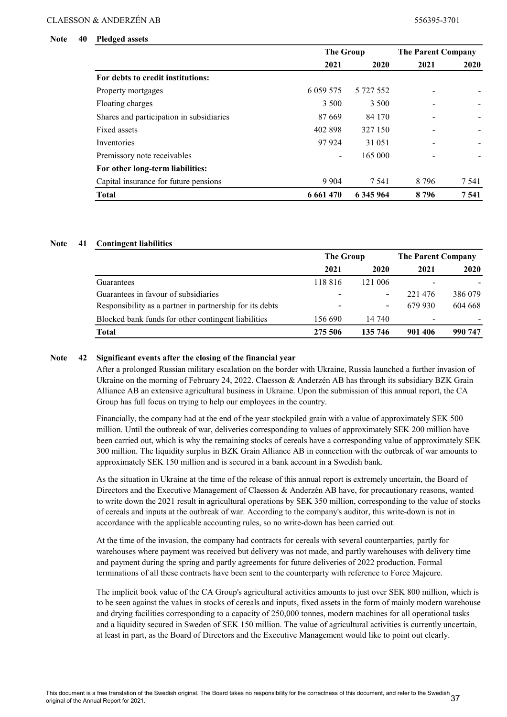#### Note 40 Pledged assets

|                                          | <b>The Group</b>         |           | <b>The Parent Company</b> |       |
|------------------------------------------|--------------------------|-----------|---------------------------|-------|
|                                          | 2021                     | 2020      | 2021                      | 2020  |
| For debts to credit institutions:        |                          |           |                           |       |
| Property mortgages                       | 6 0 59 5 7 5             | 5 727 552 |                           |       |
| Floating charges                         | 3 500                    | 3 500     |                           |       |
| Shares and participation in subsidiaries | 87 669                   | 84 170    |                           |       |
| Fixed assets                             | 402 898                  | 327 150   |                           |       |
| Inventories                              | 97 924                   | 31 051    |                           |       |
| Premissory note receivables              | $\overline{\phantom{a}}$ | 165 000   |                           |       |
| For other long-term liabilities:         |                          |           |                           |       |
| Capital insurance for future pensions    | 9 9 0 4                  | 7 5 4 1   | 8 7 9 6                   | 7 541 |
| <b>Total</b>                             | 6 661 470                | 6 345 964 | 8796                      | 7541  |

#### Note 41 Contingent liabilities

|                                                          | The Group |         | <b>The Parent Company</b> |         |
|----------------------------------------------------------|-----------|---------|---------------------------|---------|
|                                                          | 2021      | 2020    | 2021                      | 2020    |
| Guarantees                                               | 118816    | 121 006 | $\overline{\phantom{a}}$  |         |
| Guarantees in favour of subsidiaries                     |           |         | 221476                    | 386 079 |
| Responsibility as a partner in partnership for its debts | -         | ۰.      | 679 930                   | 604 668 |
| Blocked bank funds for other contingent liabilities      | 156 690   | 14 740  | $\overline{\phantom{a}}$  |         |
| <b>Total</b>                                             | 275 506   | 135 746 | 901 406                   | 990 747 |

#### Note 42 Significant events after the closing of the financial year

After a prolonged Russian military escalation on the border with Ukraine, Russia launched a further invasion of Ukraine on the morning of February 24, 2022. Claesson & Anderzén AB has through its subsidiary BZK Grain Alliance AB an extensive agricultural business in Ukraine. Upon the submission of this annual report, the CA Group has full focus on trying to help our employees in the country.

Financially, the company had at the end of the year stockpiled grain with a value of approximately SEK 500 million. Until the outbreak of war, deliveries corresponding to values of approximately SEK 200 million have been carried out, which is why the remaining stocks of cereals have a corresponding value of approximately SEK 300 million. The liquidity surplus in BZK Grain Alliance AB in connection with the outbreak of war amounts to approximately SEK 150 million and is secured in a bank account in a Swedish bank.

As the situation in Ukraine at the time of the release of this annual report is extremely uncertain, the Board of Directors and the Executive Management of Claesson & Anderzén AB have, for precautionary reasons, wanted to write down the 2021 result in agricultural operations by SEK 350 million, corresponding to the value of stocks of cereals and inputs at the outbreak of war. According to the company's auditor, this write-down is not in accordance with the applicable accounting rules, so no write-down has been carried out.

At the time of the invasion, the company had contracts for cereals with several counterparties, partly for warehouses where payment was received but delivery was not made, and partly warehouses with delivery time and payment during the spring and partly agreements for future deliveries of 2022 production. Formal terminations of all these contracts have been sent to the counterparty with reference to Force Majeure.

The implicit book value of the CA Group's agricultural activities amounts to just over SEK 800 million, which is to be seen against the values in stocks of cereals and inputs, fixed assets in the form of mainly modern warehouse and drying facilities corresponding to a capacity of 250,000 tonnes, modern machines for all operational tasks and a liquidity secured in Sweden of SEK 150 million. The value of agricultural activities is currently uncertain, at least in part, as the Board of Directors and the Executive Management would like to point out clearly.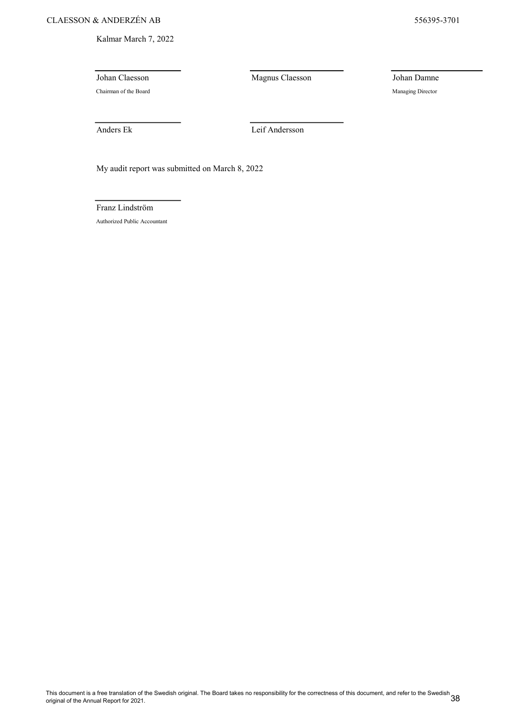Kalmar March 7, 2022

Chairman of the Board Managing Director

Johan Claesson Magnus Claesson Johan Damne

Anders Ek Leif Andersson

My audit report was submitted on March 8, 2022

Franz Lindström

Authorized Public Accountant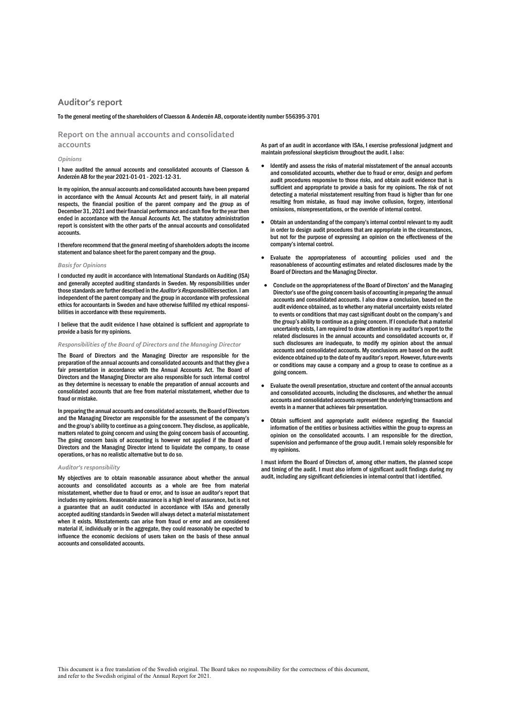#### Auditor's report

To the general meeting of the shareholders of Claesson & Anderzén AB, corporate identity number 556395-3701

Report on the annual accounts and consolidated accounts

#### Opinions

I have audited the annual accounts and consolidated accounts of Claesson & Anderzén AB for the year 2021-01-01 - 2021-12-31.

In my opinion, the annual accounts and consolidated accounts have been prepared in accordance with the Annual Accounts Act and present fairly, in all material respects, the financial position of the parent company and the group as of December 31, 2021 and their financial performance and cash flow for the year then ended in accordance with the Annual Accounts Act. The statutory administration report is consistent with the other parts of the annual accounts and consolidated accounts.

I therefore recommend that the general meeting of shareholders adopts the income statement and balance sheet for the parent company and the group.

#### Basis for Opinions

I conducted my audit in accordance with International Standards on Auditing (ISA) and generally accepted auditing standards in Sweden. My responsibilities under those standards are further described in the Auditor's Responsibilities section. I am independent of the parent company and the group in accordance with professional ethics for accountants in Sweden and have otherwise fulfilled my ethical responsibilities in accordance with these requirements.

I believe that the audit evidence I have obtained is sufficient and appropriate to provide a basis for my opinions.

#### Responsibilities of the Board of Directors and the Managing Director

The Board of Directors and the Managing Director are responsible for the preparation of the annual accounts and consolidated accounts and that they give a fair presentation in accordance with the Annual Accounts Act. The Board of Directors and the Managing Director are also responsible for such internal control as they determine is necessary to enable the preparation of annual accounts and consolidated accounts that are free from material misstatement, whether due to fraud or mistake.

In preparing the annual accounts and consolidated accounts, the Board of Directors and the Managing Director are responsible for the assessment of the company's and the group's ability to continue as a going concern. They disclose, as applicable, matters related to going concern and using the going concern basis of accounting. The going concern basis of accounting is however not applied if the Board of Directors and the Managing Director intend to liquidate the company, to cease operations, or has no realistic alternative but to do so.

#### Auditor's responsibility

My objectives are to obtain reasonable assurance about whether the annual accounts and consolidated accounts as a whole are free from material misstatement, whether due to fraud or error, and to issue an auditor's report that includes my opinions. Reasonable assurance is a high level of assurance, but is not a guarantee that an audit conducted in accordance with ISAs and generally accepted auditing standards in Sweden will always detect a material misstatement when it exists. Misstatements can arise from fraud or error and are considered material if, individually or in the aggregate, they could reasonably be expected to influence the economic decisions of users taken on the basis of these annual accounts and consolidated accounts.

As part of an audit in accordance with ISAs, I exercise professional judgment and maintain professional skepticism throughout the audit. I also:

- Identify and assess the risks of material misstatement of the annual accounts and consolidated accounts, whether due to fraud or error, design and perform audit procedures responsive to those risks, and obtain audit evidence that is sufficient and appropriate to provide a basis for my opinions. The risk of not detecting a material misstatement resulting from fraud is higher than for one resulting from mistake, as fraud may involve collusion, forgery, intentional omissions, misrepresentations, or the override of internal control.
- Obtain an understanding of the company's internal control relevant to my audit in order to design audit procedures that are appropriate in the circumstances, but not for the purpose of expressing an opinion on the effectiveness of the company's internal control.
- Evaluate the appropriateness of accounting policies used and the reasonableness of accounting estimates and related disclosures made by the Board of Directors and the Managing Director.
- Conclude on the appropriateness of the Board of Directors' and the Managing Director's use of the going concern basis of accounting in preparing the annual accounts and consolidated accounts. I also draw a conclusion, based on the audit evidence obtained, as to whether any material uncertainty exists related to events or conditions that may cast significant doubt on the company's and the group's ability to continue as a going concern. If I conclude that a material uncertainty exists, I am required to draw attention in my auditor's report to the related disclosures in the annual accounts and consolidated accounts or, if such disclosures are inadequate, to modify my opinion about the annual accounts and consolidated accounts. My conclusions are based on the audit evidence obtained up to the date of my auditor's report. However, future events or conditions may cause a company and a group to cease to continue as a going concern.
- Evaluate the overall presentation, structure and content of the annual accounts and consolidated accounts, including the disclosures, and whether the annual accounts and consolidated accounts represent the underlying transactions and events in a manner that achieves fair presentation.
- Obtain sufficient and appropriate audit evidence regarding the financial information of the entities or business activities within the group to express an opinion on the consolidated accounts. I am responsible for the direction, supervision and performance of the group audit. I remain solely responsible for my opinions.

I must inform the Board of Directors of, among other matters, the planned scope and timing of the audit. I must also inform of significant audit findings during my audit, including any significant deficiencies in internal control that I identified.